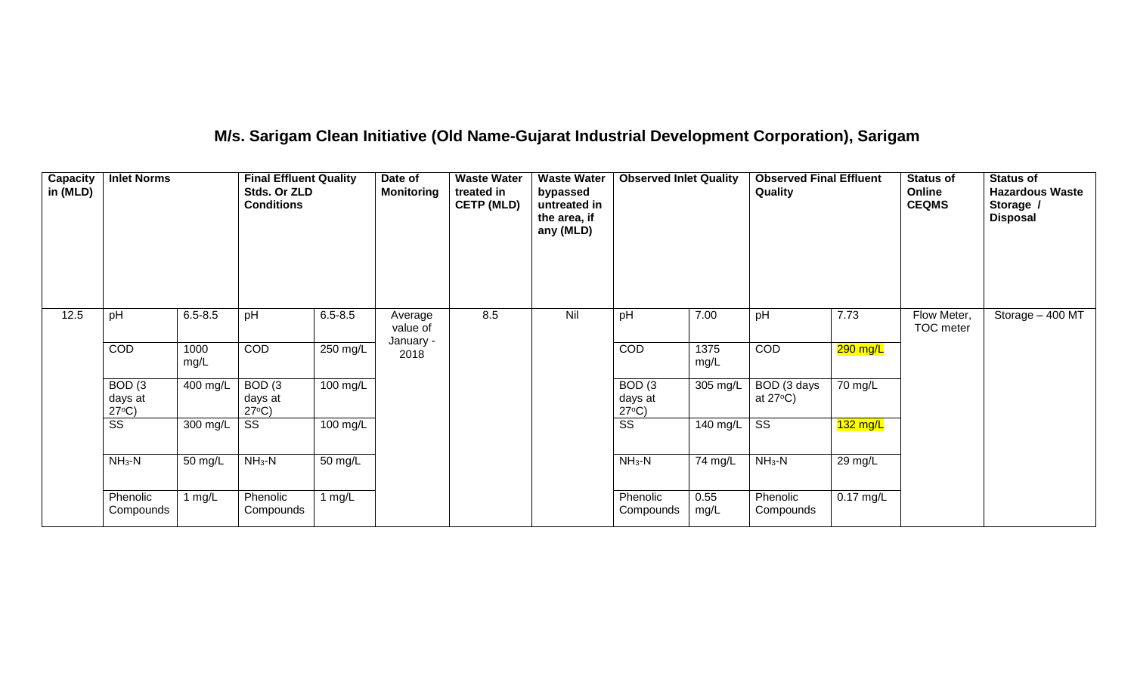# **M/s. Sarigam Clean Initiative (Old Name-Gujarat Industrial Development Corporation), Sarigam**

| Capacity<br>in (MLD) | <b>Inlet Norms</b>                              |              | <b>Final Effluent Quality</b><br>Stds. Or ZLD<br><b>Conditions</b> |             | Date of<br><b>Monitoring</b> | <b>Waste Water</b><br>treated in<br><b>CETP (MLD)</b> | <b>Waste Water</b><br>bypassed<br>untreated in<br>the area, if<br>any (MLD) | <b>Observed Inlet Quality</b>                   |              | <b>Observed Final Effluent</b><br>Quality |             | <b>Status of</b><br>Online<br><b>CEQMS</b> | <b>Status of</b><br><b>Hazardous Waste</b><br>Storage /<br><b>Disposal</b> |
|----------------------|-------------------------------------------------|--------------|--------------------------------------------------------------------|-------------|------------------------------|-------------------------------------------------------|-----------------------------------------------------------------------------|-------------------------------------------------|--------------|-------------------------------------------|-------------|--------------------------------------------|----------------------------------------------------------------------------|
| 12.5                 | pH                                              | $6.5 - 8.5$  | pH                                                                 | $6.5 - 8.5$ | Average<br>value of          | 8.5                                                   | Nil                                                                         | pH                                              | 7.00         | pH                                        | 7.73        | Flow Meter,<br>TOC meter                   | Storage $-400$ MT                                                          |
|                      | COD                                             | 1000<br>mg/L | COD                                                                | 250 mg/L    | January -<br>2018            |                                                       |                                                                             | COD                                             | 1375<br>mg/L | COD                                       | $290$ mg/L  |                                            |                                                                            |
|                      | BOD <sub>(3</sub><br>days at<br>$27^{\circ}C$ ) | 400 mg/L     | BOD <sub>(3</sub><br>days at<br>$27^{\circ}C$ )                    | 100 mg/L    |                              |                                                       |                                                                             | BOD <sub>(3</sub><br>days at<br>$27^{\circ}C$ ) | 305 mg/L     | BOD (3 days<br>at $27^{\circ}$ C)         | 70 mg/L     |                                            |                                                                            |
|                      | $\overline{\text{ss}}$                          | 300 mg/L     | SS                                                                 | 100 mg/L    |                              |                                                       |                                                                             | $\overline{\text{ss}}$                          | 140 mg/L     | $\overline{\text{SS}}$                    | $132$ mg/L  |                                            |                                                                            |
|                      | $NH3-N$                                         | 50 mg/L      | $NH3-N$                                                            | 50 mg/L     |                              |                                                       |                                                                             | $NH3-N$                                         | 74 mg/L      | $NH3-N$                                   | 29 mg/L     |                                            |                                                                            |
|                      | Phenolic<br>Compounds                           | 1 $mg/L$     | Phenolic<br>Compounds                                              | 1 $mg/L$    |                              |                                                       |                                                                             | Phenolic<br>Compounds                           | 0.55<br>mg/L | Phenolic<br>Compounds                     | $0.17$ mg/L |                                            |                                                                            |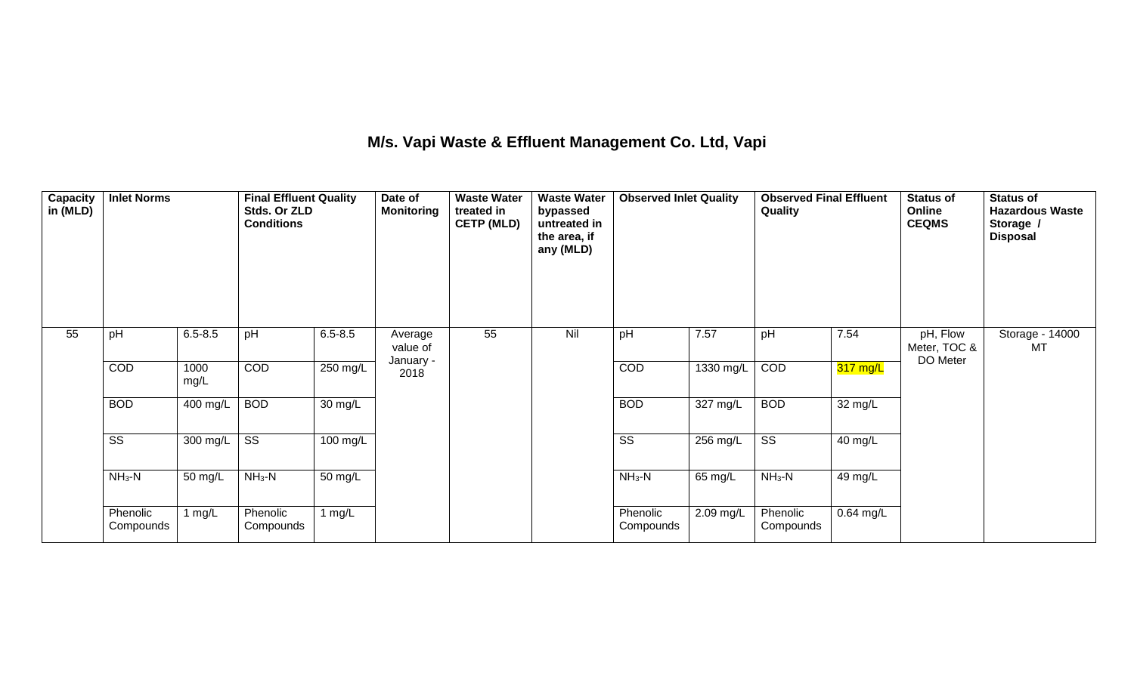### **M/s. Vapi Waste & Effluent Management Co. Ltd, Vapi**

| <b>Capacity</b><br>in (MLD) | <b>Inlet Norms</b>     |              | <b>Final Effluent Quality</b><br>Stds. Or ZLD<br><b>Conditions</b> |                      | Date of<br><b>Monitoring</b> | <b>Waste Water</b><br>treated in<br><b>CETP (MLD)</b> | <b>Waste Water</b><br>bypassed<br>untreated in<br>the area, if<br>any (MLD) | <b>Observed Inlet Quality</b> |                    | <b>Observed Final Effluent</b><br>Quality |             | <b>Status of</b><br>Online<br><b>CEQMS</b> | <b>Status of</b><br><b>Hazardous Waste</b><br>Storage /<br><b>Disposal</b> |
|-----------------------------|------------------------|--------------|--------------------------------------------------------------------|----------------------|------------------------------|-------------------------------------------------------|-----------------------------------------------------------------------------|-------------------------------|--------------------|-------------------------------------------|-------------|--------------------------------------------|----------------------------------------------------------------------------|
| 55                          | pH                     | $6.5 - 8.5$  | pH                                                                 | $6.5 - 8.5$          | Average<br>value of          | 55                                                    | Nil                                                                         | pH                            | 7.57               | pH                                        | 7.54        | pH, Flow<br>Meter, TOC &                   | Storage - 14000<br>МT                                                      |
|                             | COD                    | 1000<br>mg/L | COD                                                                | 250 mg/L             | January -<br>2018            |                                                       |                                                                             | COD                           | 1330 mg/L          | COD                                       | 317 mg/L    | DO Meter                                   |                                                                            |
|                             | <b>BOD</b>             | 400 mg/L     | <b>BOD</b>                                                         | $\overline{30}$ mg/L |                              |                                                       |                                                                             | <b>BOD</b>                    | $327 \text{ mg/L}$ | <b>BOD</b>                                | 32 mg/L     |                                            |                                                                            |
|                             | $\overline{\text{ss}}$ | 300 mg/L     | $\overline{\text{SS}}$                                             | 100 mg/L             |                              |                                                       |                                                                             | $\overline{\text{ss}}$        | 256 mg/L           | $\overline{\text{ss}}$                    | 40 mg/L     |                                            |                                                                            |
|                             | $NH3-N$                | 50 mg/L      | $NH3-N$                                                            | 50 mg/L              |                              |                                                       |                                                                             | $NH_3-N$                      | 65 mg/L            | $NH_3-N$                                  | 49 mg/L     |                                            |                                                                            |
|                             | Phenolic<br>Compounds  | 1 $mg/L$     | Phenolic<br>Compounds                                              | 1 $mg/L$             |                              |                                                       |                                                                             | Phenolic<br>Compounds         | 2.09 mg/L          | Phenolic<br>Compounds                     | $0.64$ mg/L |                                            |                                                                            |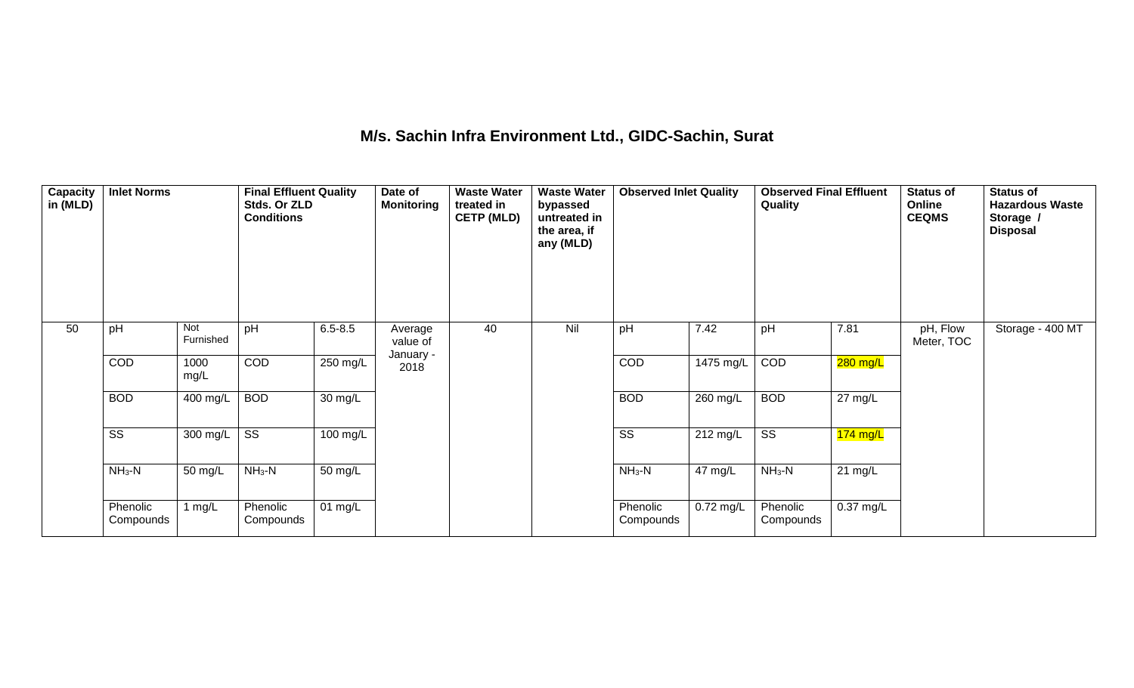## **M/s. Sachin Infra Environment Ltd., GIDC-Sachin, Surat**

| Capacity<br>in (MLD) | <b>Inlet Norms</b>     |                  | <b>Final Effluent Quality</b><br>Stds. Or ZLD<br><b>Conditions</b> |             | Date of<br><b>Monitoring</b> | <b>Waste Water</b><br>treated in<br><b>CETP (MLD)</b> | <b>Waste Water</b><br>bypassed<br>untreated in<br>the area, if<br>any (MLD) | <b>Observed Inlet Quality</b> |                    | <b>Observed Final Effluent</b><br>Quality |                   | <b>Status of</b><br>Online<br><b>CEQMS</b> | <b>Status of</b><br><b>Hazardous Waste</b><br>Storage /<br><b>Disposal</b> |
|----------------------|------------------------|------------------|--------------------------------------------------------------------|-------------|------------------------------|-------------------------------------------------------|-----------------------------------------------------------------------------|-------------------------------|--------------------|-------------------------------------------|-------------------|--------------------------------------------|----------------------------------------------------------------------------|
| 50                   | pH                     | Not<br>Furnished | pH                                                                 | $6.5 - 8.5$ | Average<br>value of          | 40                                                    | Nil                                                                         | pH                            | 7.42               | pH                                        | 7.81              | pH, Flow<br>Meter, TOC                     | Storage - 400 MT                                                           |
|                      | COD                    | 1000<br>mg/L     | COD                                                                | $250$ mg/L  | January -<br>2018            |                                                       |                                                                             | COD                           | $1475$ mg/L        | COD                                       | $280$ mg/L        |                                            |                                                                            |
|                      | <b>BOD</b>             | 400 mg/L         | <b>BOD</b>                                                         | 30 mg/L     |                              |                                                       |                                                                             | <b>BOD</b>                    | 260 mg/L           | <b>BOD</b>                                | $27 \text{ mg/L}$ |                                            |                                                                            |
|                      | $\overline{\text{SS}}$ | 300 mg/L         | $\overline{\text{ss}}$                                             | 100 mg/L    |                              |                                                       |                                                                             | $\overline{\text{ss}}$        | $212 \text{ mg/L}$ | $\overline{\text{ss}}$                    | $174$ mg/L        |                                            |                                                                            |
|                      | $NH3-N$                | 50 mg/L          | $NH3-N$                                                            | 50 mg/L     |                              |                                                       |                                                                             | $NH_3-N$                      | 47 mg/L            | $NH3-N$                                   | $21 \text{ mg/L}$ |                                            |                                                                            |
|                      | Phenolic<br>Compounds  | 1 $mg/L$         | Phenolic<br>Compounds                                              | 01 mg/L     |                              |                                                       |                                                                             | Phenolic<br>Compounds         | 0.72 mg/L          | Phenolic<br>Compounds                     | $0.37$ mg/L       |                                            |                                                                            |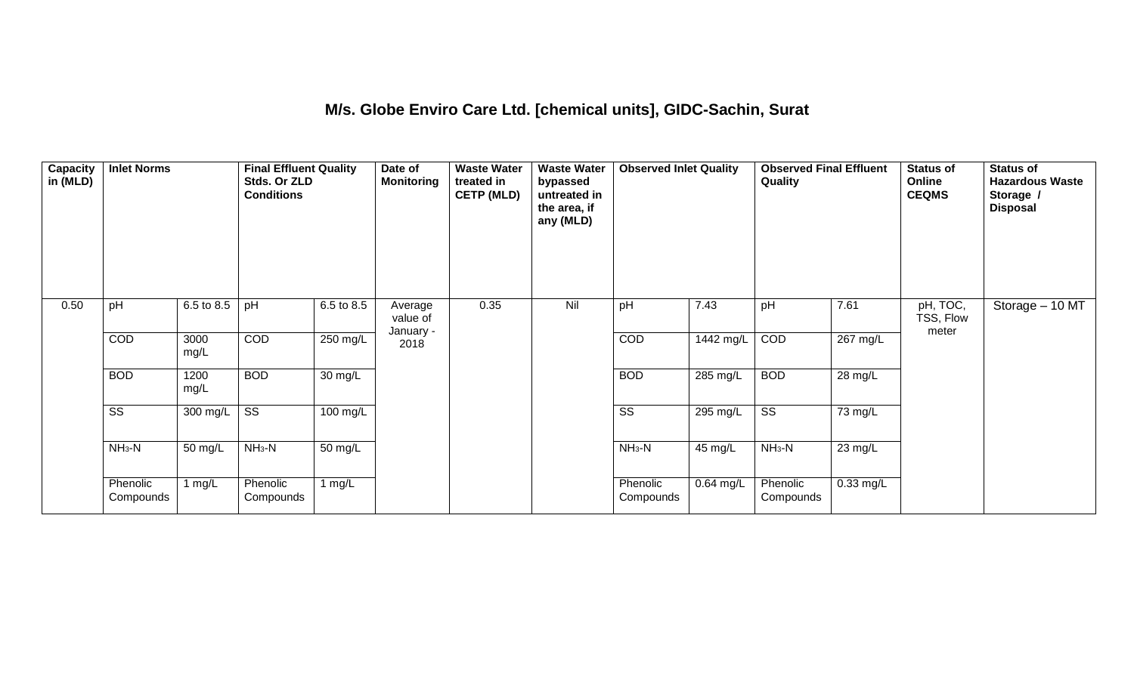#### **M/s. Globe Enviro Care Ltd. [chemical units], GIDC-Sachin, Surat**

| Capacity<br>in (MLD) | <b>Inlet Norms</b>     |              | <b>Final Effluent Quality</b><br>Stds. Or ZLD<br><b>Conditions</b> |                    | Date of<br><b>Monitoring</b>     | <b>Waste Water</b><br>treated in<br><b>CETP (MLD)</b> | <b>Waste Water</b><br>bypassed<br>untreated in<br>the area, if<br>any (MLD) | <b>Observed Inlet Quality</b> |                    | <b>Observed Final Effluent</b><br>Quality |                      | <b>Status of</b><br>Online<br><b>CEQMS</b> | <b>Status of</b><br><b>Hazardous Waste</b><br>Storage /<br><b>Disposal</b> |
|----------------------|------------------------|--------------|--------------------------------------------------------------------|--------------------|----------------------------------|-------------------------------------------------------|-----------------------------------------------------------------------------|-------------------------------|--------------------|-------------------------------------------|----------------------|--------------------------------------------|----------------------------------------------------------------------------|
| 0.50                 | pH                     | 6.5 to 8.5   | pH                                                                 | 6.5 to 8.5         | Average<br>value of<br>January - | 0.35                                                  | Nil                                                                         | pH                            | 7.43               | pH                                        | 7.61                 | pH, TOC,<br>TSS, Flow<br>meter             | Storage - 10 MT                                                            |
|                      | <b>COD</b>             | 3000<br>mg/L | COD                                                                | 250 mg/L           | 2018                             |                                                       |                                                                             | COD                           | 1442 mg/L          | COD                                       | 267 mg/L             |                                            |                                                                            |
|                      | <b>BOD</b>             | 1200<br>mg/L | <b>BOD</b>                                                         | 30 mg/L            |                                  |                                                       |                                                                             | <b>BOD</b>                    | 285 mg/L           | <b>BOD</b>                                | $\overline{28}$ mg/L |                                            |                                                                            |
|                      | $\overline{\text{ss}}$ | 300 mg/L     | $\overline{\text{ss}}$                                             | $100 \text{ mg/L}$ |                                  |                                                       |                                                                             | $\overline{\text{ss}}$        | $295 \text{ mg/L}$ | $\overline{\text{ss}}$                    | 73 mg/L              |                                            |                                                                            |
|                      | $NH3-N$                | 50 mg/L      | $NH3-N$                                                            | 50 mg/L            |                                  |                                                       |                                                                             | $NH3-N$                       | 45 mg/L            | $NH3-N$                                   | 23 mg/L              |                                            |                                                                            |
|                      | Phenolic<br>Compounds  | 1 $mg/L$     | Phenolic<br>Compounds                                              | 1 $mg/L$           |                                  |                                                       |                                                                             | Phenolic<br>Compounds         | $0.64$ mg/L        | Phenolic<br>Compounds                     | $0.33$ mg/L          |                                            |                                                                            |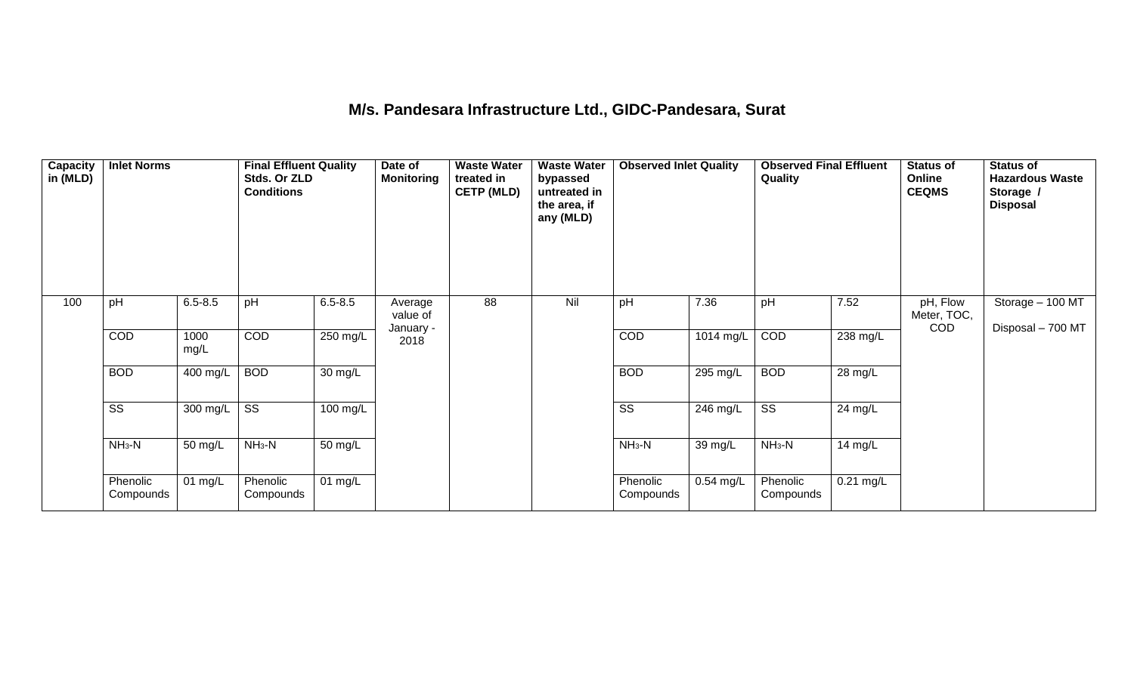# **M/s. Pandesara Infrastructure Ltd., GIDC-Pandesara, Surat**

| Capacity<br>in (MLD) | <b>Inlet Norms</b>     |              | <b>Final Effluent Quality</b><br>Stds. Or ZLD<br><b>Conditions</b> |             | Date of<br><b>Monitoring</b> | <b>Waste Water</b><br>treated in<br><b>CETP (MLD)</b> | <b>Waste Water</b><br>bypassed<br>untreated in<br>the area, if<br>any (MLD) | <b>Observed Inlet Quality</b> |             | <b>Observed Final Effluent</b><br>Quality |           | <b>Status of</b><br>Online<br><b>CEQMS</b> | <b>Status of</b><br><b>Hazardous Waste</b><br>Storage /<br><b>Disposal</b> |
|----------------------|------------------------|--------------|--------------------------------------------------------------------|-------------|------------------------------|-------------------------------------------------------|-----------------------------------------------------------------------------|-------------------------------|-------------|-------------------------------------------|-----------|--------------------------------------------|----------------------------------------------------------------------------|
| 100                  | pH                     | $6.5 - 8.5$  | pH                                                                 | $6.5 - 8.5$ | Average<br>value of          | 88                                                    | Nil                                                                         | pH                            | 7.36        | pH                                        | 7.52      | pH, Flow<br>Meter, TOC,<br><b>COD</b>      | Storage - 100 MT                                                           |
|                      | COD                    | 1000<br>mg/L | COD                                                                | 250 mg/L    | January -<br>2018            |                                                       |                                                                             | COD                           | 1014 mg/L   | COD                                       | 238 mg/L  |                                            | Disposal - 700 MT                                                          |
|                      | <b>BOD</b>             | 400 mg/L     | <b>BOD</b>                                                         | 30 mg/L     |                              |                                                       |                                                                             | <b>BOD</b>                    | 295 mg/L    | <b>BOD</b>                                | 28 mg/L   |                                            |                                                                            |
|                      | $\overline{\text{SS}}$ | 300 mg/L     | $\overline{\text{ss}}$                                             | 100 mg/L    |                              |                                                       |                                                                             | $\overline{\text{ss}}$        | 246 mg/L    | $\overline{\text{SS}}$                    | 24 mg/L   |                                            |                                                                            |
|                      | $NH3-N$                | 50 mg/L      | $NH3-N$                                                            | 50 mg/L     |                              |                                                       |                                                                             | $NH3-N$                       | 39 mg/L     | $NH3-N$                                   | 14 mg/L   |                                            |                                                                            |
|                      | Phenolic<br>Compounds  | 01 mg/L      | Phenolic<br>Compounds                                              | 01 $mg/L$   |                              |                                                       |                                                                             | Phenolic<br>Compounds         | $0.54$ mg/L | Phenolic<br>Compounds                     | 0.21 mg/L |                                            |                                                                            |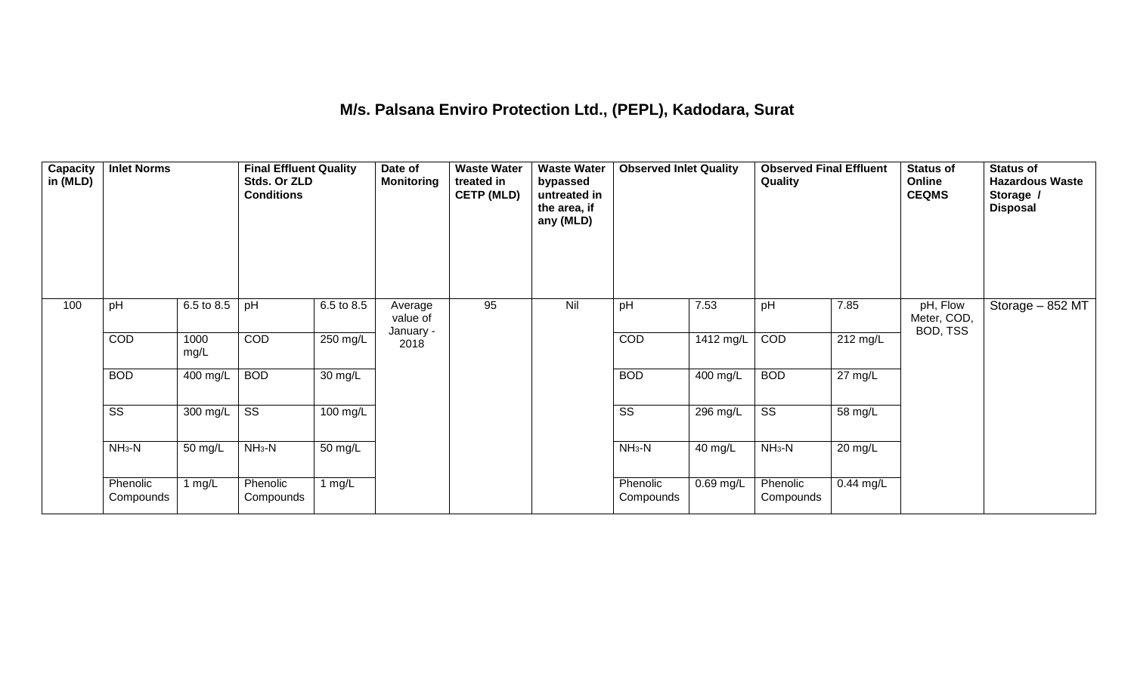### **M/s. Palsana Enviro Protection Ltd., (PEPL), Kadodara, Surat**

| Capacity<br>in (MLD) | <b>Inlet Norms</b>     |              | <b>Final Effluent Quality</b><br>Stds. Or ZLD<br><b>Conditions</b> |            | Date of<br><b>Monitoring</b> | <b>Waste Water</b><br>treated in<br><b>CETP (MLD)</b> | <b>Waste Water</b><br>bypassed<br>untreated in<br>the area, if<br>any (MLD) | <b>Observed Inlet Quality</b> |            | <b>Observed Final Effluent</b><br><b>Quality</b> |                   | <b>Status of</b><br>Online<br><b>CEQMS</b> | <b>Status of</b><br><b>Hazardous Waste</b><br>Storage /<br><b>Disposal</b> |
|----------------------|------------------------|--------------|--------------------------------------------------------------------|------------|------------------------------|-------------------------------------------------------|-----------------------------------------------------------------------------|-------------------------------|------------|--------------------------------------------------|-------------------|--------------------------------------------|----------------------------------------------------------------------------|
| 100                  | pH                     | 6.5 to 8.5   | pH                                                                 | 6.5 to 8.5 | Average<br>value of          | 95                                                    | Nil                                                                         | pH                            | 7.53       | pH                                               | 7.85              | pH, Flow<br>Meter, COD,<br>BOD, TSS        | Storage - 852 MT                                                           |
|                      | COD                    | 1000<br>mg/L | COD                                                                | $250$ mg/L | January -<br>2018            |                                                       |                                                                             | COD                           | 1412 mg/L  | COD                                              | 212 mg/L          |                                            |                                                                            |
|                      | <b>BOD</b>             | 400 mg/L     | <b>BOD</b>                                                         | 30 mg/L    |                              |                                                       |                                                                             | <b>BOD</b>                    | 400 mg/L   | <b>BOD</b>                                       | $27 \text{ mg/L}$ |                                            |                                                                            |
|                      | $\overline{\text{ss}}$ | 300 mg/L     | $\overline{\text{ss}}$                                             | $100$ mg/L |                              |                                                       |                                                                             | $\overline{\text{ss}}$        | $296$ mg/L | $\overline{\text{ss}}$                           | 58 mg/L           |                                            |                                                                            |
|                      | $NH3-N$                | 50 mg/L      | $NH3-N$                                                            | 50 mg/L    |                              |                                                       |                                                                             | $NH_3-N$                      | 40 mg/L    | $NH3-N$                                          | 20 mg/L           |                                            |                                                                            |
|                      | Phenolic<br>Compounds  | 1 mg/L       | Phenolic<br>Compounds                                              | 1 $mg/L$   |                              |                                                       |                                                                             | Phenolic<br>Compounds         | 0.69 mg/L  | Phenolic<br>Compounds                            | 0.44 mg/L         |                                            |                                                                            |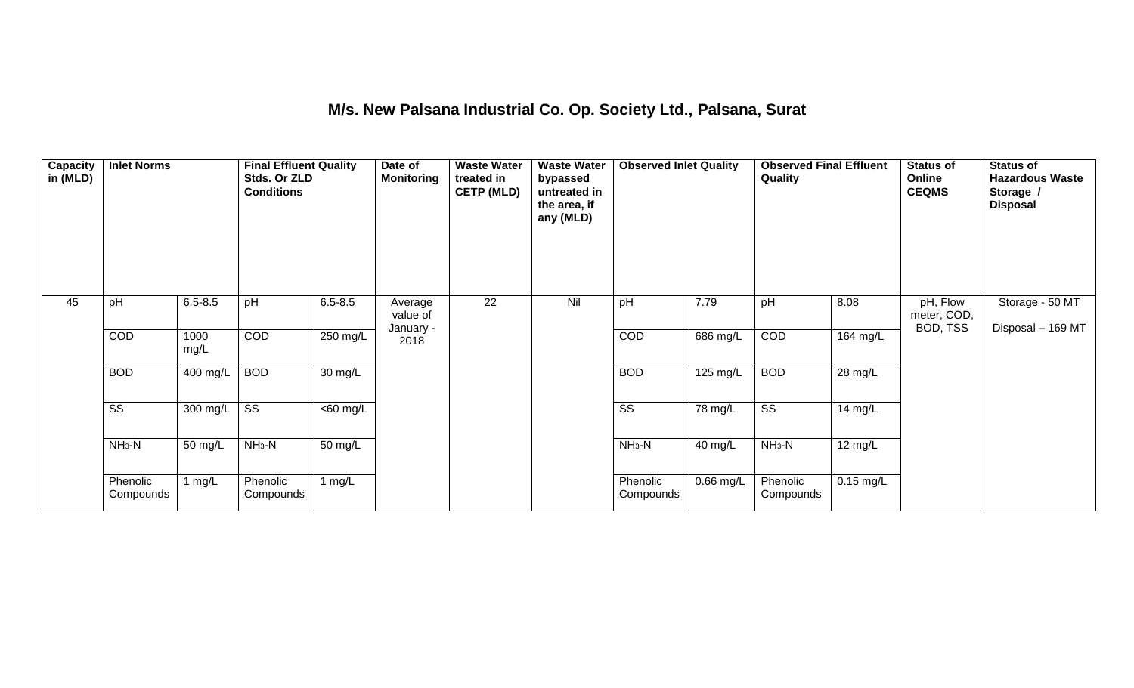## **M/s. New Palsana Industrial Co. Op. Society Ltd., Palsana, Surat**

| Capacity<br>in (MLD) | <b>Inlet Norms</b>     |                       | <b>Final Effluent Quality</b><br>Stds. Or ZLD<br><b>Conditions</b> |             | Date of<br><b>Monitoring</b> | <b>Waste Water</b><br>treated in<br><b>CETP (MLD)</b> | <b>Waste Water</b><br>bypassed<br>untreated in<br>the area, if<br>any (MLD) | <b>Observed Inlet Quality</b> |             | <b>Observed Final Effluent</b><br>Quality |                   | <b>Status of</b><br>Online<br><b>CEQMS</b> | <b>Status of</b><br><b>Hazardous Waste</b><br>Storage /<br><b>Disposal</b> |
|----------------------|------------------------|-----------------------|--------------------------------------------------------------------|-------------|------------------------------|-------------------------------------------------------|-----------------------------------------------------------------------------|-------------------------------|-------------|-------------------------------------------|-------------------|--------------------------------------------|----------------------------------------------------------------------------|
| 45                   | pH                     | $6.5 - 8.5$           | pH                                                                 | $6.5 - 8.5$ | Average<br>value of          | 22                                                    | Nil                                                                         | pH                            | 7.79        | pH                                        | 8.08              | pH, Flow<br>meter, COD,<br>BOD, TSS        | Storage - 50 MT<br>Disposal - 169 MT                                       |
|                      | COD                    | 1000<br>mg/L          | COD                                                                | 250 mg/L    | January -<br>2018            |                                                       |                                                                             | COD                           | 686 mg/L    | COD                                       | 164 mg/L          |                                            |                                                                            |
|                      | <b>BOD</b>             | $\overline{400}$ mg/L | <b>BOD</b>                                                         | 30 mg/L     |                              |                                                       |                                                                             | <b>BOD</b>                    | 125 mg/L    | <b>BOD</b>                                | 28 mg/L           |                                            |                                                                            |
|                      | $\overline{\text{SS}}$ | 300 mg/L              | $\overline{\text{ss}}$                                             | $<$ 60 mg/L |                              |                                                       |                                                                             | $\overline{\text{ss}}$        | 78 mg/L     | $\overline{\text{ss}}$                    | 14 mg/L           |                                            |                                                                            |
|                      | $NH3-N$                | 50 mg/L               | $NH3-N$                                                            | 50 mg/L     |                              |                                                       |                                                                             | $NH3-N$                       | 40 mg/L     | $NH3-N$                                   | $12 \text{ mg/L}$ |                                            |                                                                            |
|                      | Phenolic<br>Compounds  | 1 $mg/L$              | Phenolic<br>Compounds                                              | 1 $mg/L$    |                              |                                                       |                                                                             | Phenolic<br>Compounds         | $0.66$ mg/L | Phenolic<br>Compounds                     | $0.15$ mg/L       |                                            |                                                                            |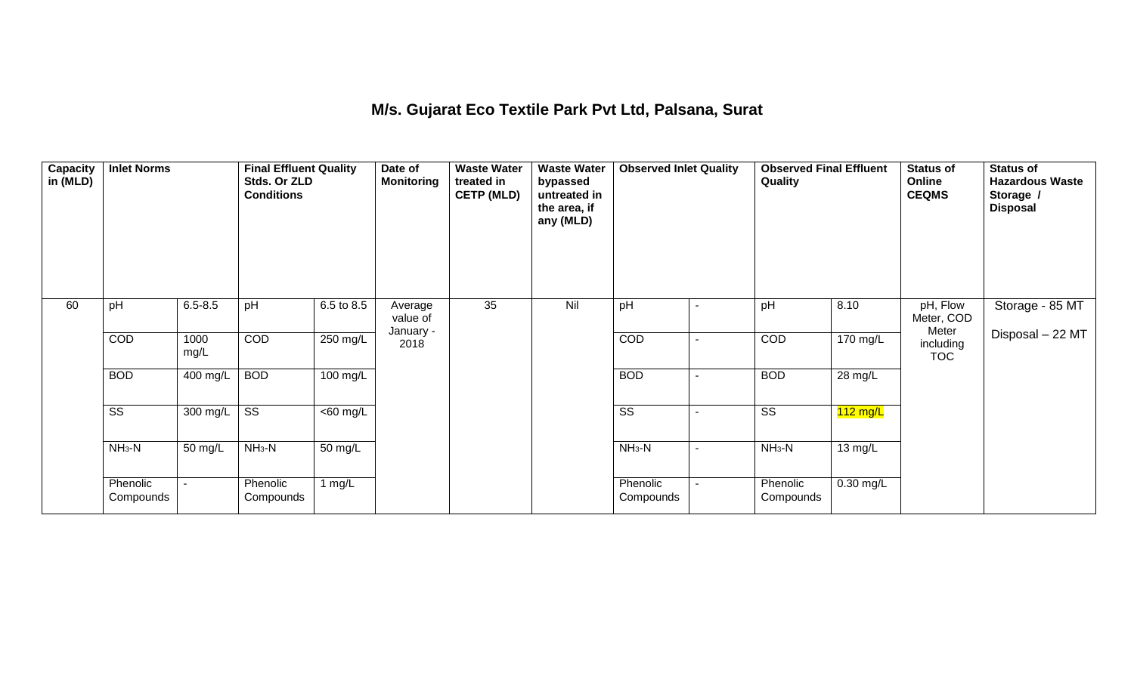### **M/s. Gujarat Eco Textile Park Pvt Ltd, Palsana, Surat**

| Capacity<br>in (MLD) | <b>Inlet Norms</b>     |              | <b>Final Effluent Quality</b><br>Stds. Or ZLD<br><b>Conditions</b> |                      | Date of<br><b>Monitoring</b> | <b>Waste Water</b><br>treated in<br><b>CETP (MLD)</b> | <b>Waste Water</b><br>bypassed<br>untreated in<br>the area, if<br>any (MLD) | <b>Observed Inlet Quality</b> |    | <b>Observed Final Effluent</b><br>Quality |                    | <b>Status of</b><br>Online<br><b>CEQMS</b> | <b>Status of</b><br><b>Hazardous Waste</b><br>Storage /<br><b>Disposal</b> |
|----------------------|------------------------|--------------|--------------------------------------------------------------------|----------------------|------------------------------|-------------------------------------------------------|-----------------------------------------------------------------------------|-------------------------------|----|-------------------------------------------|--------------------|--------------------------------------------|----------------------------------------------------------------------------|
| 60                   | pH                     | $6.5 - 8.5$  | pH                                                                 | 6.5 to 8.5           | Average<br>value of          | 35                                                    | Nil                                                                         | pH                            |    | pH                                        | 8.10               | pH, Flow<br>Meter, COD<br>Meter            | Storage - 85 MT                                                            |
|                      | COD                    | 1000<br>mg/L | COD                                                                | $250$ mg/L           | January -<br>2018            |                                                       |                                                                             | COD                           | ۰  | COD                                       | 170 mg/L           | including<br><b>TOC</b>                    | Disposal - 22 MT                                                           |
|                      | <b>BOD</b>             | 400 mg/L     | <b>BOD</b>                                                         | $100$ mg/L           |                              |                                                       |                                                                             | <b>BOD</b>                    | ۰  | <b>BOD</b>                                | 28 mg/L            |                                            |                                                                            |
|                      | $\overline{\text{ss}}$ | 300 mg/L     | $\overline{\text{ss}}$                                             | $\overline{60}$ mg/L |                              |                                                       |                                                                             | $\overline{\text{ss}}$        | ۰  | $\overline{\text{ss}}$                    | $112 \text{ mg/L}$ |                                            |                                                                            |
|                      | $NH3-N$                | 50 mg/L      | $NH3-N$                                                            | 50 mg/L              |                              |                                                       |                                                                             | $NH_3-N$                      | ۰. | $NH3-N$                                   | 13 mg/L            |                                            |                                                                            |
|                      | Phenolic<br>Compounds  |              | Phenolic<br>Compounds                                              | 1 $mg/L$             |                              |                                                       |                                                                             | Phenolic<br>Compounds         |    | Phenolic<br>Compounds                     | 0.30 mg/L          |                                            |                                                                            |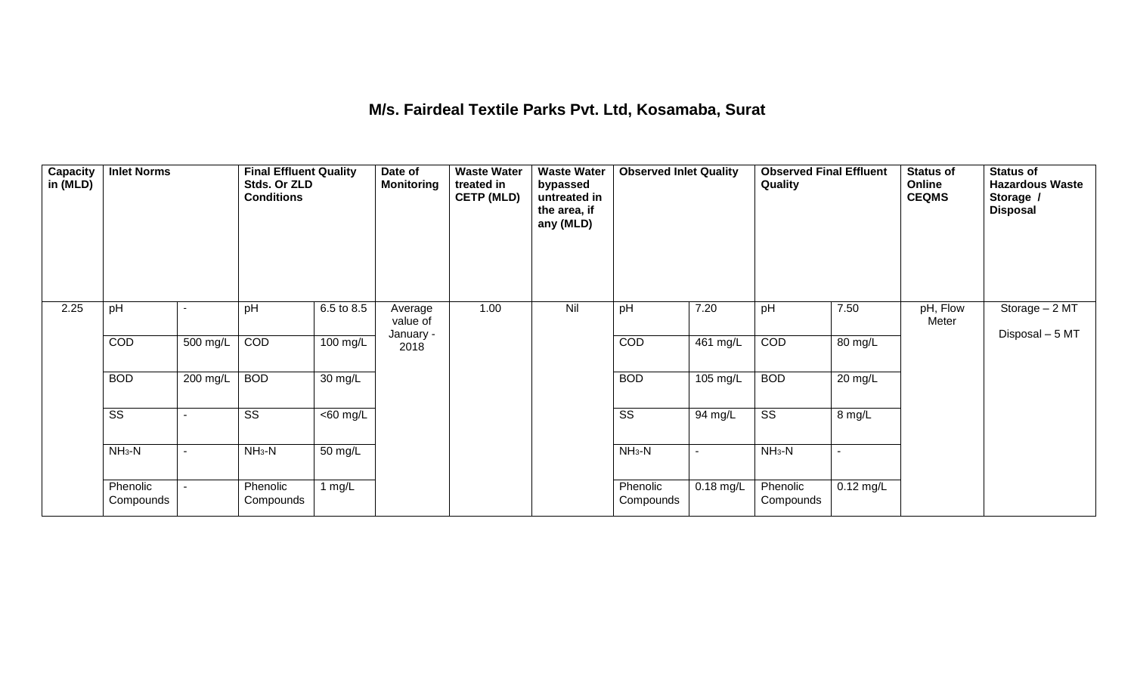#### **M/s. Fairdeal Textile Parks Pvt. Ltd, Kosamaba, Surat**

| $\overline{\mathsf{Capacity}}$<br>in (MLD) | <b>Inlet Norms</b>     |          | <b>Final Effluent Quality</b><br>Stds. Or ZLD<br><b>Conditions</b> |                   | Date of<br><b>Monitoring</b>     | <b>Waste Water</b><br>treated in<br><b>CETP (MLD)</b> | <b>Waste Water</b><br>bypassed<br>untreated in<br>the area, if<br>any (MLD) | <b>Observed Inlet Quality</b> |                | <b>Observed Final Effluent</b><br>Quality |             | <b>Status of</b><br>Online<br><b>CEQMS</b> | <b>Status of</b><br><b>Hazardous Waste</b><br>Storage /<br><b>Disposal</b> |
|--------------------------------------------|------------------------|----------|--------------------------------------------------------------------|-------------------|----------------------------------|-------------------------------------------------------|-----------------------------------------------------------------------------|-------------------------------|----------------|-------------------------------------------|-------------|--------------------------------------------|----------------------------------------------------------------------------|
| 2.25                                       | pH                     |          | pH                                                                 | 6.5 to 8.5        | Average<br>value of<br>January - | 1.00                                                  | Nil                                                                         | pH                            | 7.20           | pH                                        | 7.50        | pH, Flow<br>Meter                          | Storage - 2 MT<br>Disposal - 5 MT                                          |
|                                            | COD                    | 500 mg/L | COD                                                                | $100$ mg/L        | 2018                             |                                                       |                                                                             | COD                           | 461 mg/L       | COD                                       | 80 mg/L     |                                            |                                                                            |
|                                            | <b>BOD</b>             | 200 mg/L | <b>BOD</b>                                                         | $30 \text{ mg/L}$ |                                  |                                                       |                                                                             | <b>BOD</b>                    | 105 mg/L       | <b>BOD</b>                                | 20 mg/L     |                                            |                                                                            |
|                                            | $\overline{\text{ss}}$ |          | $\overline{\text{ss}}$                                             | $<$ 60 mg/L       |                                  |                                                       |                                                                             | $\overline{\text{ss}}$        | 94 mg/L        | $\overline{\text{ss}}$                    | 8 mg/L      |                                            |                                                                            |
|                                            | $NH3-N$                |          | $NH_3-N$                                                           | 50 mg/L           |                                  |                                                       |                                                                             | $NH3-N$                       | $\blacksquare$ | $NH3-N$                                   | $\sim$      |                                            |                                                                            |
|                                            | Phenolic<br>Compounds  |          | Phenolic<br>Compounds                                              | 1 $mg/L$          |                                  |                                                       |                                                                             | Phenolic<br>Compounds         | $0.18$ mg/L    | Phenolic<br>Compounds                     | $0.12$ mg/L |                                            |                                                                            |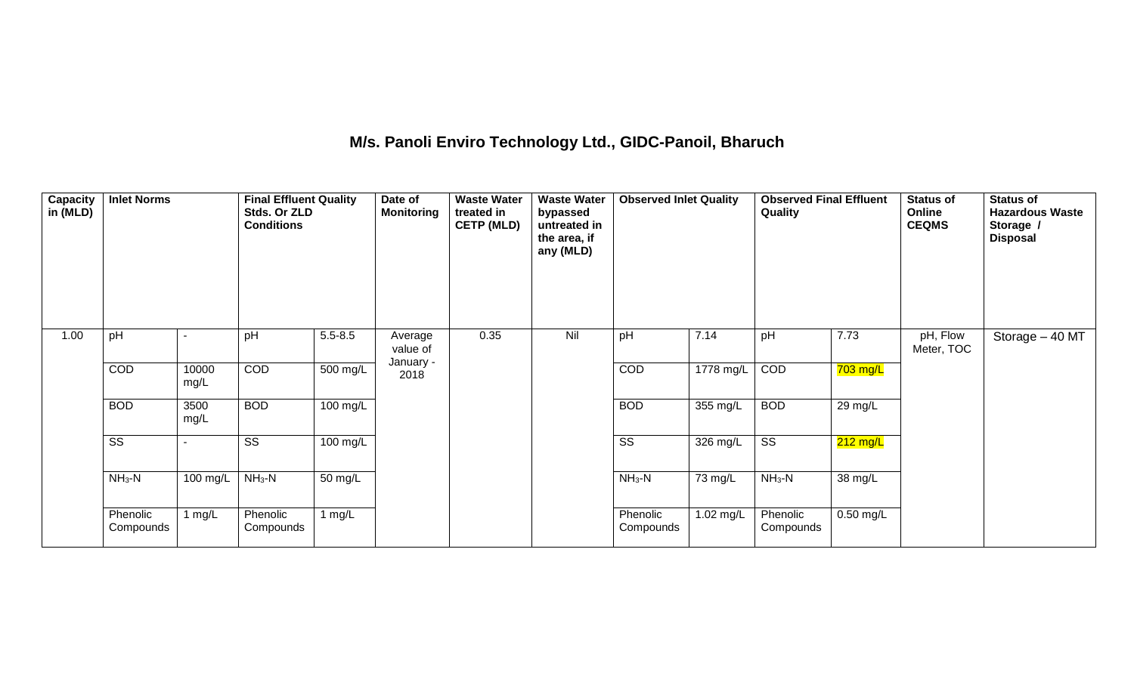## **M/s. Panoli Enviro Technology Ltd., GIDC-Panoil, Bharuch**

| Capacity<br>in (MLD) | <b>Inlet Norms</b>     |               | <b>Final Effluent Quality</b><br>Stds. Or ZLD<br><b>Conditions</b> |             | Date of<br><b>Monitoring</b> | <b>Waste Water</b><br>treated in<br><b>CETP (MLD)</b> | <b>Waste Water</b><br>bypassed<br>untreated in<br>the area, if<br>any (MLD) | <b>Observed Inlet Quality</b> |                    | <b>Observed Final Effluent</b><br>Quality |             | <b>Status of</b><br>Online<br><b>CEQMS</b> | <b>Status of</b><br><b>Hazardous Waste</b><br>Storage /<br><b>Disposal</b> |
|----------------------|------------------------|---------------|--------------------------------------------------------------------|-------------|------------------------------|-------------------------------------------------------|-----------------------------------------------------------------------------|-------------------------------|--------------------|-------------------------------------------|-------------|--------------------------------------------|----------------------------------------------------------------------------|
| 1.00                 | pH                     |               | pH                                                                 | $5.5 - 8.5$ | Average<br>value of          | 0.35                                                  | Nil                                                                         | pH                            | 7.14               | pH                                        | 7.73        | pH, Flow<br>Meter, TOC                     | Storage - 40 MT                                                            |
|                      | COD                    | 10000<br>mg/L | COD                                                                | 500 mg/L    | January -<br>2018            |                                                       |                                                                             | COD                           | 1778 mg/L          | COD                                       | $703$ mg/L  |                                            |                                                                            |
|                      | <b>BOD</b>             | 3500<br>mg/L  | <b>BOD</b>                                                         | 100 mg/L    |                              |                                                       |                                                                             | <b>BOD</b>                    | $355 \text{ mg/L}$ | <b>BOD</b>                                | 29 mg/L     |                                            |                                                                            |
|                      | $\overline{\text{SS}}$ |               | $\overline{\text{SS}}$                                             | 100 mg/L    |                              |                                                       |                                                                             | $\overline{\text{ss}}$        | 326 mg/L           | $\overline{\text{ss}}$                    | $212$ mg/L  |                                            |                                                                            |
|                      | $NH3-N$                | 100 mg/L      | $NH_3-N$                                                           | 50 mg/L     |                              |                                                       |                                                                             | $NH3-N$                       | 73 mg/L            | $NH3-N$                                   | 38 mg/L     |                                            |                                                                            |
|                      | Phenolic<br>Compounds  | mg/L          | Phenolic<br>Compounds                                              | 1 $mg/L$    |                              |                                                       |                                                                             | Phenolic<br>Compounds         | 1.02 mg/L          | Phenolic<br>Compounds                     | $0.50$ mg/L |                                            |                                                                            |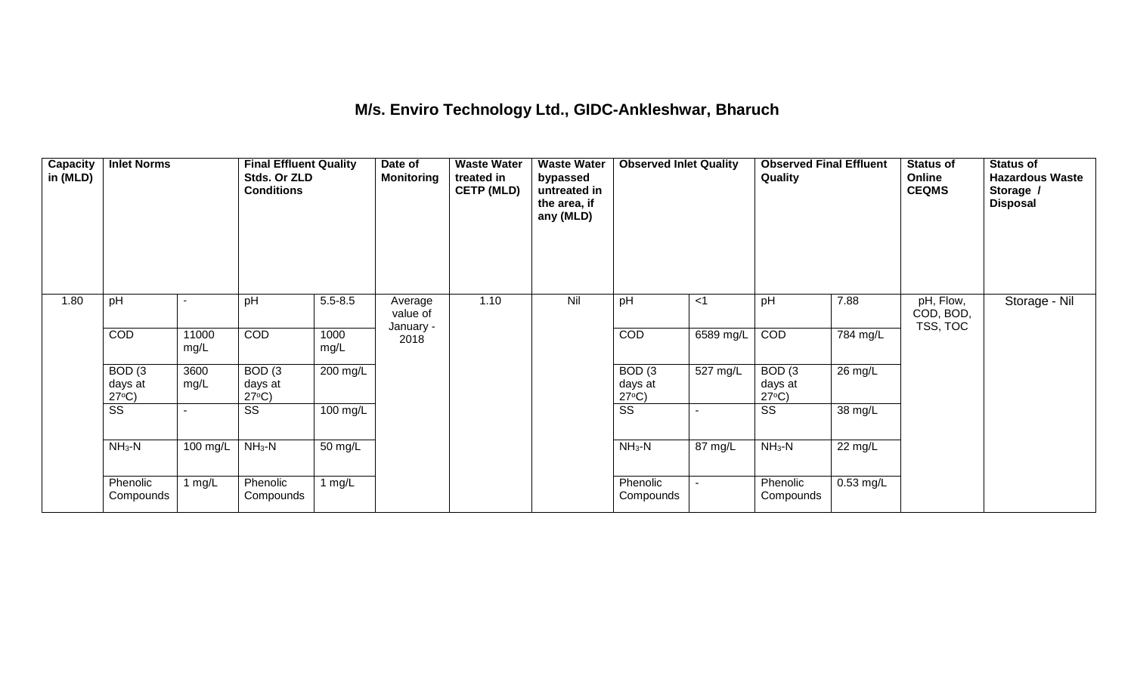#### **M/s. Enviro Technology Ltd., GIDC-Ankleshwar, Bharuch**

| Capacity<br>in (MLD) | <b>Inlet Norms</b>                   |               | <b>Final Effluent Quality</b><br>Stds. Or ZLD<br><b>Conditions</b> |              | Date of<br><b>Monitoring</b>     | <b>Waste Water</b><br>treated in<br><b>CETP (MLD)</b> | <b>Waste Water</b><br>bypassed<br>untreated in<br>the area, if<br>any (MLD) | <b>Observed Inlet Quality</b>        |           | <b>Observed Final Effluent</b><br>Quality |                   | <b>Status of</b><br>Online<br><b>CEQMS</b> | <b>Status of</b><br><b>Hazardous Waste</b><br>Storage /<br><b>Disposal</b> |
|----------------------|--------------------------------------|---------------|--------------------------------------------------------------------|--------------|----------------------------------|-------------------------------------------------------|-----------------------------------------------------------------------------|--------------------------------------|-----------|-------------------------------------------|-------------------|--------------------------------------------|----------------------------------------------------------------------------|
| 1.80                 | pH                                   |               | pH                                                                 | $5.5 - 8.5$  | Average<br>value of<br>January - | 1.10                                                  | Nil                                                                         | pH                                   | $<$ 1     | pH                                        | 7.88              | pH, Flow,<br>COD, BOD,<br>TSS, TOC         | Storage - Nil                                                              |
|                      | COD                                  | 11000<br>mg/L | COD                                                                | 1000<br>mg/L | 2018                             |                                                       |                                                                             | COD                                  | 6589 mg/L | COD                                       | 784 mg/L          |                                            |                                                                            |
|                      | BOD(3)<br>days at<br>$27^{\circ}C$ ) | 3600<br>mg/L  | BOD(3)<br>days at<br>$27^{\circ}C$ )                               | 200 mg/L     |                                  |                                                       |                                                                             | BOD(3)<br>days at<br>$27^{\circ}C$ ) | 527 mg/L  | BOD(3)<br>days at<br>$27^{\circ}C$ )      | $26 \text{ mg/L}$ |                                            |                                                                            |
|                      | $\overline{\text{SS}}$               |               | SS                                                                 | 100 mg/L     |                                  |                                                       |                                                                             | $\overline{\text{ss}}$               |           | $\overline{\text{SS}}$                    | 38 mg/L           |                                            |                                                                            |
|                      | $NH3-N$                              | 100 mg/L      | $NH3-N$                                                            | 50 mg/L      |                                  |                                                       |                                                                             | $NH_3-N$                             | 87 mg/L   | $NH_3-N$                                  | 22 mg/L           |                                            |                                                                            |
|                      | Phenolic<br>Compounds                | 1 mg/L        | Phenolic<br>Compounds                                              | 1 mg/ $L$    |                                  |                                                       |                                                                             | Phenolic<br>Compounds                |           | Phenolic<br>Compounds                     | 0.53 mg/L         |                                            |                                                                            |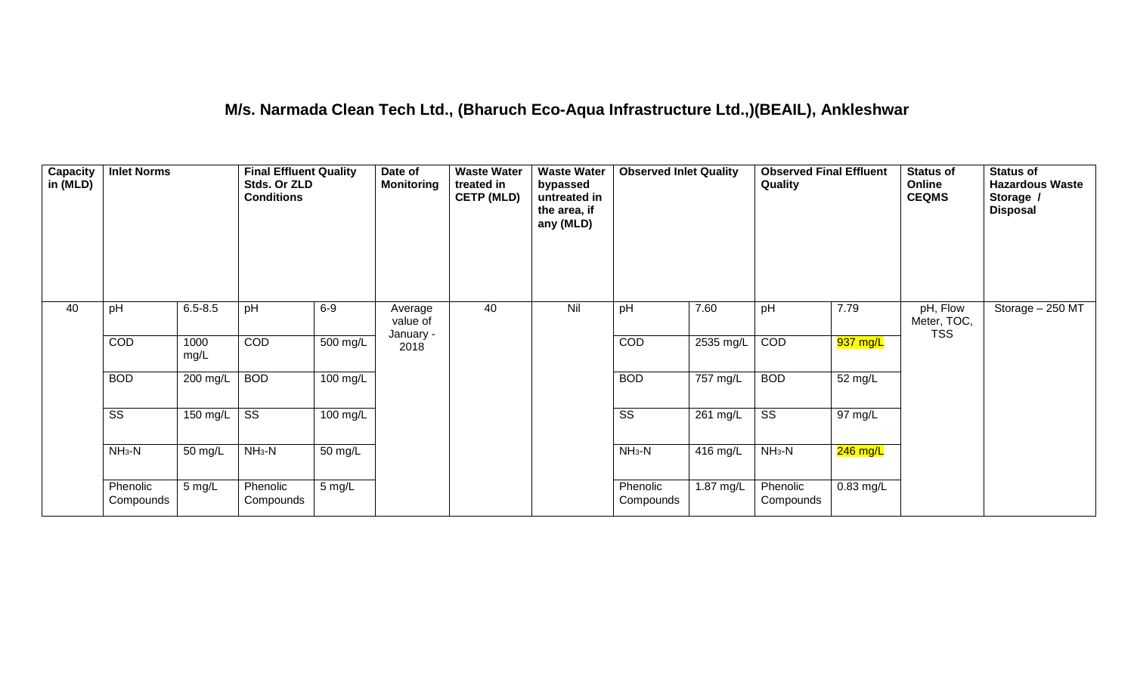#### **M/s. Narmada Clean Tech Ltd., (Bharuch Eco-Aqua Infrastructure Ltd.,)(BEAIL), Ankleshwar**

| Capacity<br>in (MLD) | <b>Inlet Norms</b>     |              | <b>Final Effluent Quality</b><br>Stds. Or ZLD<br><b>Conditions</b> |                       | Date of<br><b>Monitoring</b> | <b>Waste Water</b><br>treated in<br><b>CETP (MLD)</b> | <b>Waste Water</b><br>bypassed<br>untreated in<br>the area, if<br>any (MLD) | <b>Observed Inlet Quality</b> |                    | <b>Observed Final Effluent</b><br>Quality |                      | Status of<br><b>Online</b><br><b>CEQMS</b> | <b>Status of</b><br><b>Hazardous Waste</b><br>Storage /<br><b>Disposal</b> |
|----------------------|------------------------|--------------|--------------------------------------------------------------------|-----------------------|------------------------------|-------------------------------------------------------|-----------------------------------------------------------------------------|-------------------------------|--------------------|-------------------------------------------|----------------------|--------------------------------------------|----------------------------------------------------------------------------|
| 40                   | pH                     | $6.5 - 8.5$  | pH                                                                 | $6-9$                 | Average<br>value of          | 40                                                    | Nil                                                                         | pH                            | 7.60               | pH                                        | 7.79                 | pH, Flow<br>Meter, TOC,<br><b>TSS</b>      | Storage - 250 MT                                                           |
|                      | COD                    | 1000<br>mg/L | COD                                                                | $\overline{500}$ mg/L | January -<br>2018            |                                                       |                                                                             | COD                           | 2535 mg/L          | COD                                       | 937 mg/L             |                                            |                                                                            |
|                      | <b>BOD</b>             | 200 mg/L     | <b>BOD</b>                                                         | 100 mg/L              |                              |                                                       |                                                                             | <b>BOD</b>                    | 757 mg/L           | <b>BOD</b>                                | 52 mg/L              |                                            |                                                                            |
|                      | $\overline{\text{ss}}$ | 150 mg/L     | $\overline{\text{ss}}$                                             | $100 \text{ mg/L}$    |                              |                                                       |                                                                             | $\overline{\text{ss}}$        | $261 \text{ mg/L}$ | $\overline{\text{ss}}$                    | $\overline{97}$ mg/L |                                            |                                                                            |
|                      | $NH3-N$                | 50 mg/L      | $NH3-N$                                                            | 50 mg/L               |                              |                                                       |                                                                             | $NH3-N$                       | 416 mg/L           | $NH_3-N$                                  | $246$ mg/L           |                                            |                                                                            |
|                      | Phenolic<br>Compounds  | $5$ mg/L     | Phenolic<br>Compounds                                              | 5 mg/L                |                              |                                                       |                                                                             | Phenolic<br>Compounds         | 1.87 mg/L          | Phenolic<br>Compounds                     | $0.83$ mg/L          |                                            |                                                                            |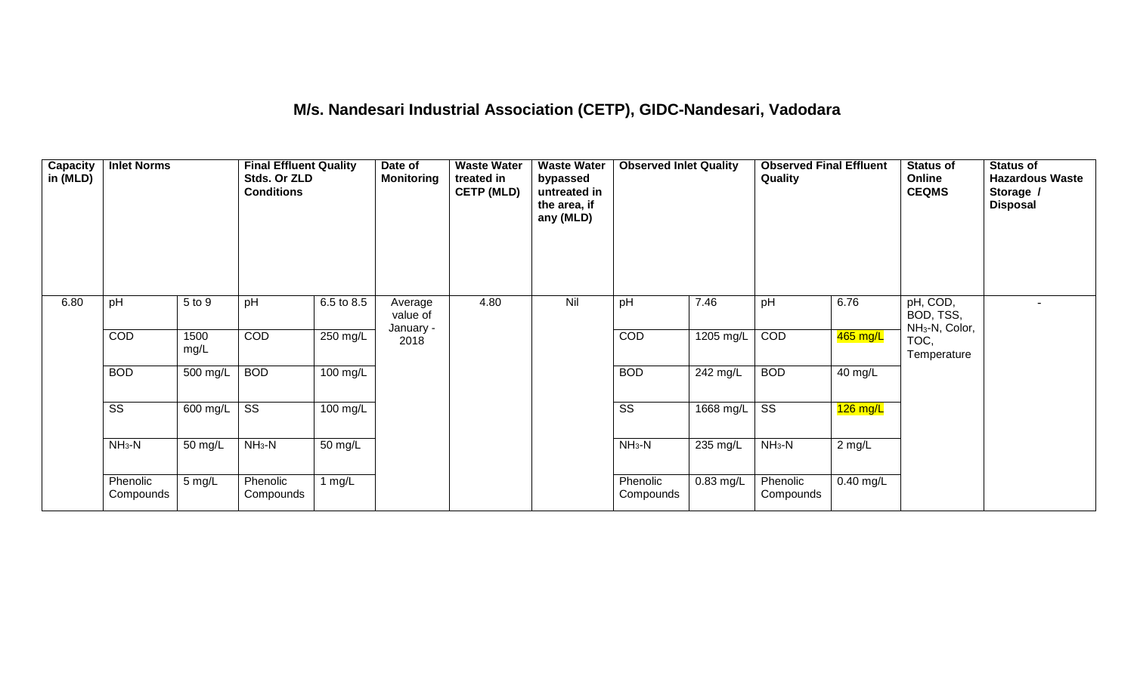## **M/s. Nandesari Industrial Association (CETP), GIDC-Nandesari, Vadodara**

| Capacity<br>in (MLD) | <b>Inlet Norms</b>     |              | <b>Final Effluent Quality</b><br>Stds. Or ZLD<br><b>Conditions</b> |                    | Date of<br><b>Monitoring</b>     | <b>Waste Water</b><br>treated in<br><b>CETP (MLD)</b> | <b>Waste Water</b><br>bypassed<br>untreated in<br>the area, if<br>any (MLD) | <b>Observed Inlet Quality</b> |             | <b>Observed Final Effluent</b><br>Quality |             | <b>Status of</b><br>Online<br><b>CEQMS</b>          | <b>Status of</b><br><b>Hazardous Waste</b><br>Storage /<br><b>Disposal</b> |
|----------------------|------------------------|--------------|--------------------------------------------------------------------|--------------------|----------------------------------|-------------------------------------------------------|-----------------------------------------------------------------------------|-------------------------------|-------------|-------------------------------------------|-------------|-----------------------------------------------------|----------------------------------------------------------------------------|
| 6.80                 | pH                     | 5 to 9       | pH                                                                 | 6.5 to 8.5         | Average<br>value of<br>January - | 4.80                                                  | Nil                                                                         | pH                            | 7.46        | pH                                        | 6.76        | pH, COD,<br>BOD, TSS,<br>NH <sub>3</sub> -N, Color, |                                                                            |
|                      | COD                    | 1500<br>mg/L | COD                                                                | 250 mg/L           | 2018                             |                                                       |                                                                             | COD                           | 1205 mg/L   | COD                                       | 465 mg/L    | TOC,<br>Temperature                                 |                                                                            |
|                      | <b>BOD</b>             | 500 mg/L     | <b>BOD</b>                                                         | 100 mg/L           |                                  |                                                       |                                                                             | <b>BOD</b>                    | 242 mg/L    | <b>BOD</b>                                | 40 mg/L     |                                                     |                                                                            |
|                      | $\overline{\text{SS}}$ | 600 mg/L     | $\overline{\text{ss}}$                                             | $100 \text{ mg/L}$ |                                  |                                                       |                                                                             | $\overline{\text{ss}}$        | 1668 mg/L   | $\overline{\text{ss}}$                    | $126$ mg/L  |                                                     |                                                                            |
|                      | $NH3-N$                | 50 mg/L      | $NH3-N$                                                            | 50 mg/L            |                                  |                                                       |                                                                             | $NH3-N$                       | 235 mg/L    | $NH3-N$                                   | $2$ mg/L    |                                                     |                                                                            |
|                      | Phenolic<br>Compounds  | 5 mg/L       | Phenolic<br>Compounds                                              | 1 $mg/L$           |                                  |                                                       |                                                                             | Phenolic<br>Compounds         | $0.83$ mg/L | Phenolic<br>Compounds                     | $0.40$ mg/L |                                                     |                                                                            |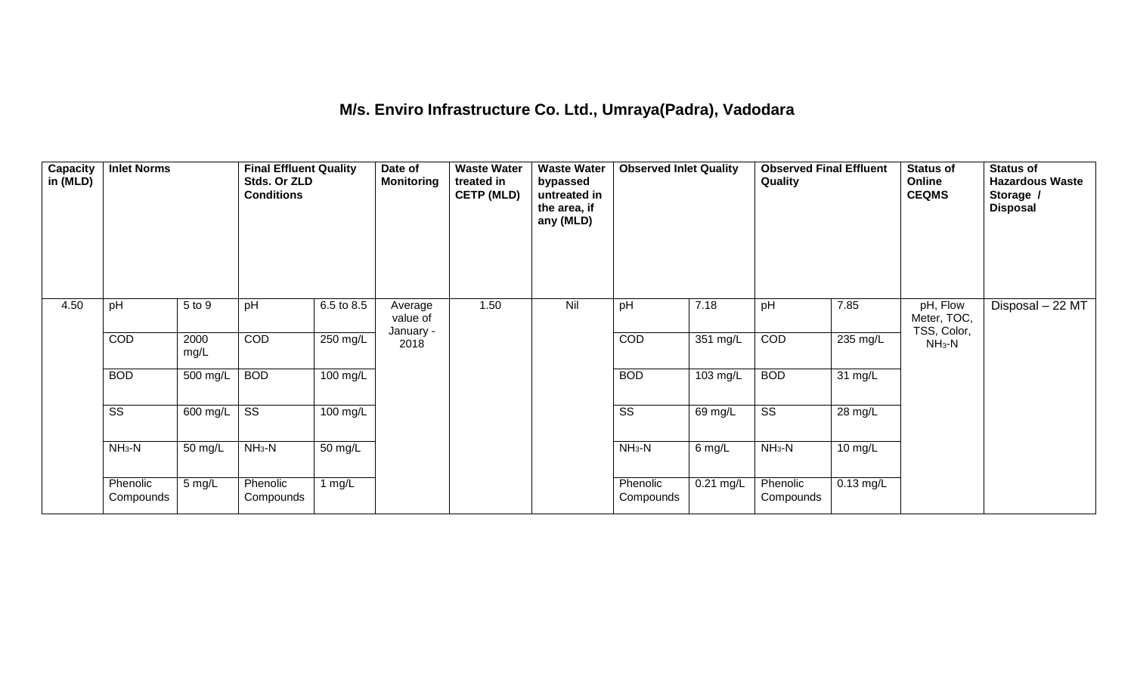### **M/s. Enviro Infrastructure Co. Ltd., Umraya(Padra), Vadodara**

| Capacity<br>in (MLD) | <b>Inlet Norms</b>     |              | <b>Final Effluent Quality</b><br>Stds. Or ZLD<br><b>Conditions</b> |            | Date of<br><b>Monitoring</b>     | <b>Waste Water</b><br>treated in<br><b>CETP (MLD)</b> | <b>Waste Water</b><br>bypassed<br>untreated in<br>the area, if<br>any (MLD) | <b>Observed Inlet Quality</b> |                    | <b>Observed Final Effluent</b><br><b>Quality</b> |             | <b>Status of</b><br>Online<br><b>CEQMS</b> | <b>Status of</b><br><b>Hazardous Waste</b><br>Storage /<br><b>Disposal</b> |
|----------------------|------------------------|--------------|--------------------------------------------------------------------|------------|----------------------------------|-------------------------------------------------------|-----------------------------------------------------------------------------|-------------------------------|--------------------|--------------------------------------------------|-------------|--------------------------------------------|----------------------------------------------------------------------------|
| 4.50                 | pH                     | 5 to 9       | pH                                                                 | 6.5 to 8.5 | Average<br>value of<br>January - | 1.50                                                  | Nil                                                                         | pH                            | 7.18               | pH                                               | 7.85        | pH, Flow<br>Meter, TOC,<br>TSS, Color,     | Disposal - 22 MT                                                           |
|                      | COD                    | 2000<br>mg/L | COD                                                                | $250$ mg/L | 2018                             |                                                       |                                                                             | COD                           | 351 mg/L           | COD                                              | 235 mg/L    | $NH3-N$                                    |                                                                            |
|                      | <b>BOD</b>             | 500 mg/L     | <b>BOD</b>                                                         | 100 mg/L   |                                  |                                                       |                                                                             | <b>BOD</b>                    | $103 \text{ mg/L}$ | <b>BOD</b>                                       | 31 mg/L     |                                            |                                                                            |
|                      | $\overline{\text{ss}}$ | 600 mg/L     | $\overline{\text{ss}}$                                             | $100$ mg/L |                                  |                                                       |                                                                             | $\overline{\text{ss}}$        | 69 mg/L            | $\overline{\text{ss}}$                           | 28 mg/L     |                                            |                                                                            |
|                      | $NH3-N$                | 50 mg/L      | $NH3-N$                                                            | 50 mg/L    |                                  |                                                       |                                                                             | $NH_3-N$                      | 6 mg/L             | $NH3-N$                                          | 10 mg/L     |                                            |                                                                            |
|                      | Phenolic<br>Compounds  | 5 mg/L       | Phenolic<br>Compounds                                              | 1 $mg/L$   |                                  |                                                       |                                                                             | Phenolic<br>Compounds         | 0.21 mg/L          | Phenolic<br>Compounds                            | $0.13$ mg/L |                                            |                                                                            |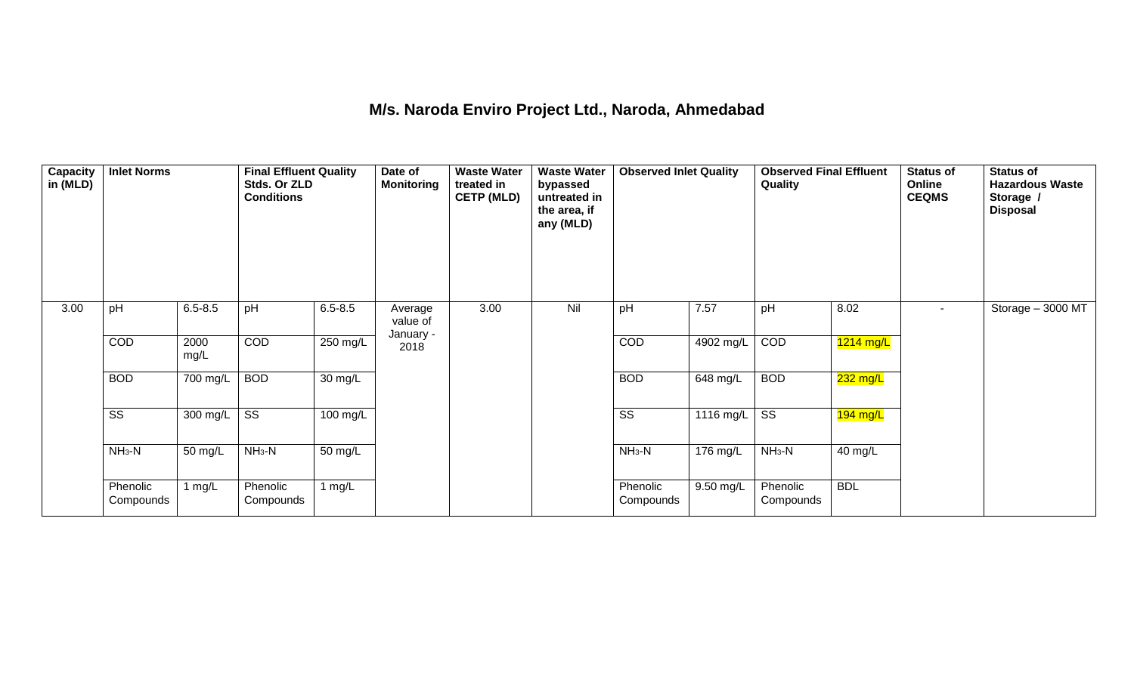### **M/s. Naroda Enviro Project Ltd., Naroda, Ahmedabad**

| <b>Capacity</b><br>in (MLD) | <b>Inlet Norms</b>     |              | <b>Final Effluent Quality</b><br>Stds. Or ZLD<br><b>Conditions</b> |                      | Date of<br><b>Monitoring</b> | <b>Waste Water</b><br>treated in<br><b>CETP (MLD)</b> | <b>Waste Water</b><br>bypassed<br>untreated in<br>the area, if<br>any (MLD) | <b>Observed Inlet Quality</b> |                       | <b>Observed Final Effluent</b><br>Quality |             | <b>Status of</b><br>Online<br><b>CEQMS</b> | <b>Status of</b><br><b>Hazardous Waste</b><br>Storage /<br><b>Disposal</b> |
|-----------------------------|------------------------|--------------|--------------------------------------------------------------------|----------------------|------------------------------|-------------------------------------------------------|-----------------------------------------------------------------------------|-------------------------------|-----------------------|-------------------------------------------|-------------|--------------------------------------------|----------------------------------------------------------------------------|
| 3.00                        | pH                     | $6.5 - 8.5$  | pH                                                                 | $6.5 - 8.5$          | Average<br>value of          | 3.00                                                  | Nil                                                                         | pH                            | 7.57                  | pH                                        | 8.02        | $\sim$                                     | Storage - 3000 MT                                                          |
|                             | COD                    | 2000<br>mg/L | COD                                                                | 250 mg/L             | January -<br>2018            |                                                       |                                                                             | COD                           | 4902 mg/L             | COD                                       | $1214$ mg/L |                                            |                                                                            |
|                             | <b>BOD</b>             | 700 mg/L     | <b>BOD</b>                                                         | $\overline{30}$ mg/L |                              |                                                       |                                                                             | <b>BOD</b>                    | $\overline{648}$ mg/L | <b>BOD</b>                                | $232$ mg/L  |                                            |                                                                            |
|                             | $\overline{\text{SS}}$ | 300 mg/L     | $\overline{\text{ss}}$                                             | $100$ mg/L           |                              |                                                       |                                                                             | $\overline{\text{ss}}$        | $1116$ mg/L           | $\overline{\text{ss}}$                    | $194$ mg/L  |                                            |                                                                            |
|                             | $NH3-N$                | 50 mg/L      | $NH3-N$                                                            | 50 mg/L              |                              |                                                       |                                                                             | $NH3-N$                       | $176$ mg/L            | $NH3-N$                                   | 40 mg/L     |                                            |                                                                            |
|                             | Phenolic<br>Compounds  | 1 $mg/L$     | Phenolic<br>Compounds                                              | 1 $mg/L$             |                              |                                                       |                                                                             | Phenolic<br>Compounds         | 9.50 mg/L             | Phenolic<br>Compounds                     | <b>BDL</b>  |                                            |                                                                            |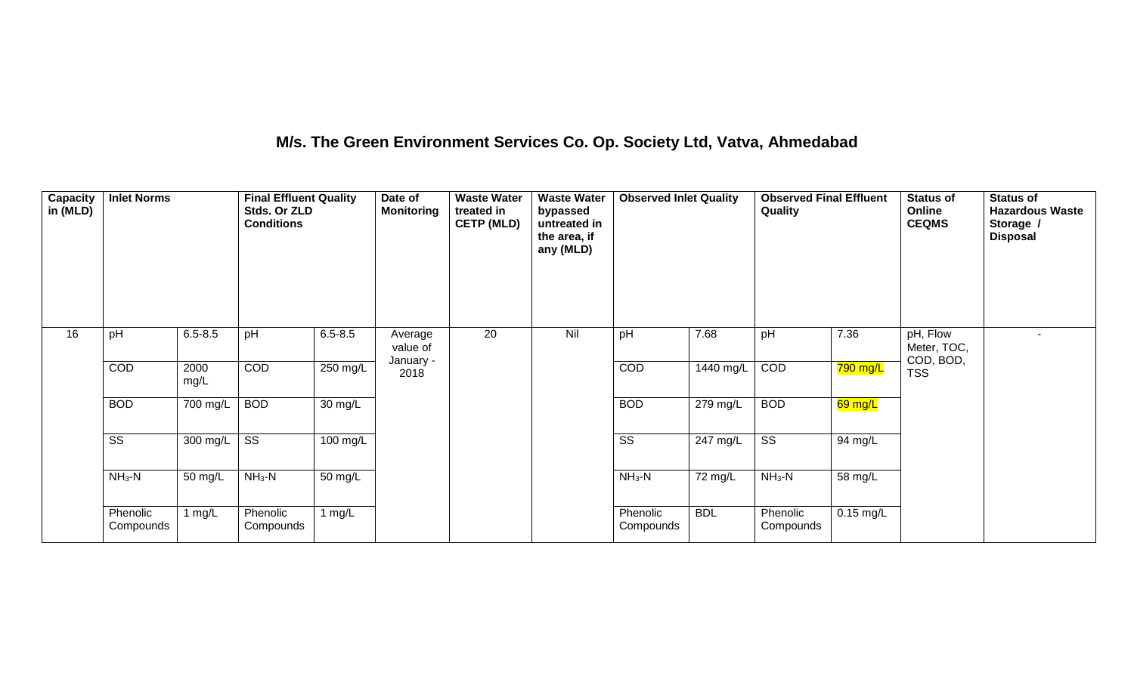### **M/s. The Green Environment Services Co. Op. Society Ltd, Vatva, Ahmedabad**

| Capacity<br>in (MLD) | <b>Inlet Norms</b>     |              | <b>Final Effluent Quality</b><br>Stds. Or ZLD<br><b>Conditions</b> |                    | Date of<br><b>Monitoring</b> | <b>Waste Water</b><br>treated in<br><b>CETP (MLD)</b> | <b>Waste Water</b><br>bypassed<br>untreated in<br>the area, if<br>any (MLD) | <b>Observed Inlet Quality</b> |             | <b>Observed Final Effluent</b><br>Quality |             | <b>Status of</b><br>Online<br><b>CEQMS</b> | <b>Status of</b><br><b>Hazardous Waste</b><br>Storage /<br><b>Disposal</b> |
|----------------------|------------------------|--------------|--------------------------------------------------------------------|--------------------|------------------------------|-------------------------------------------------------|-----------------------------------------------------------------------------|-------------------------------|-------------|-------------------------------------------|-------------|--------------------------------------------|----------------------------------------------------------------------------|
| 16                   | pH                     | $6.5 - 8.5$  | pH                                                                 | $6.5 - 8.5$        | Average<br>value of          | 20                                                    | Nil                                                                         | pH                            | 7.68        | pH                                        | 7.36        | pH, Flow<br>Meter, TOC,<br>COD, BOD,       |                                                                            |
|                      | COD                    | 2000<br>mg/L | COD                                                                | $250$ mg/L         | January -<br>2018            |                                                       |                                                                             | COD                           | $1440$ mg/L | COD                                       | 790 mg/L    | <b>TSS</b>                                 |                                                                            |
|                      | <b>BOD</b>             | 700 mg/L     | <b>BOD</b>                                                         | 30 mg/L            |                              |                                                       |                                                                             | <b>BOD</b>                    | $279$ mg/L  | <b>BOD</b>                                | 69 mg/L     |                                            |                                                                            |
|                      | $\overline{\text{ss}}$ | 300 mg/L     | $\overline{\text{ss}}$                                             | $100 \text{ mg/L}$ |                              |                                                       |                                                                             | $\overline{\text{ss}}$        | $247$ mg/L  | $\overline{\text{ss}}$                    | 94 mg/L     |                                            |                                                                            |
|                      | $NH3-N$                | 50 mg/L      | $NH_3-N$                                                           | 50 mg/L            |                              |                                                       |                                                                             | $NH_3-N$                      | 72 mg/L     | $NH3-N$                                   | 58 mg/L     |                                            |                                                                            |
|                      | Phenolic<br>Compounds  | 1 $mg/L$     | Phenolic<br>Compounds                                              | 1 $mg/L$           |                              |                                                       |                                                                             | Phenolic<br>Compounds         | <b>BDL</b>  | Phenolic<br>Compounds                     | $0.15$ mg/L |                                            |                                                                            |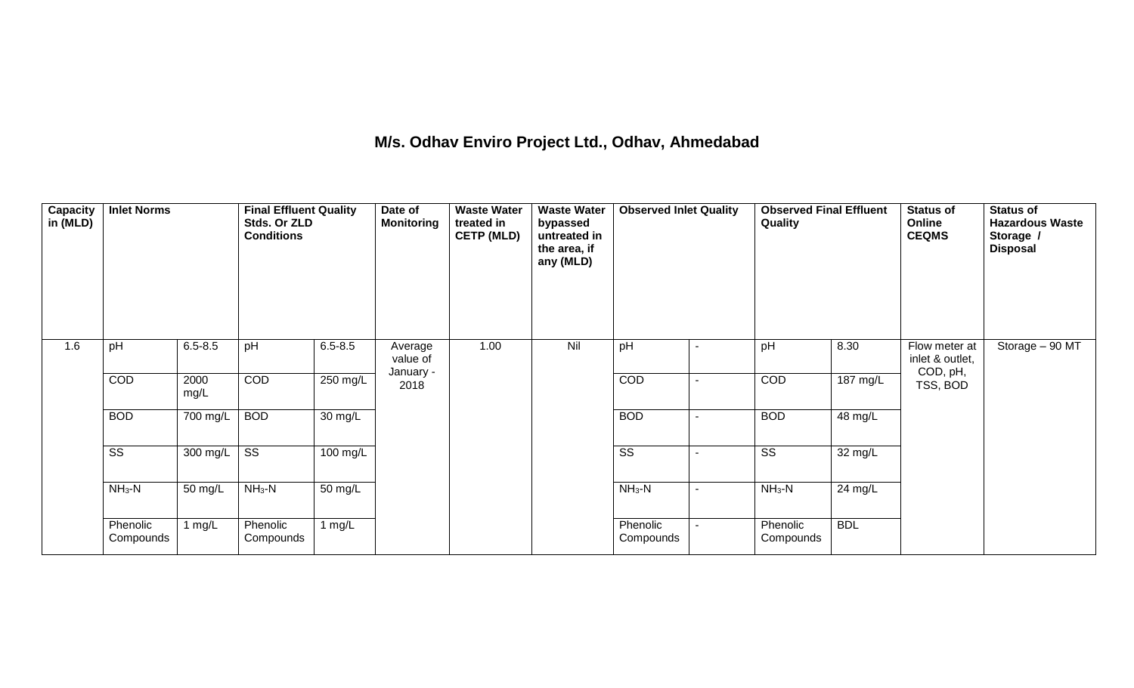### **M/s. Odhav Enviro Project Ltd., Odhav, Ahmedabad**

| <b>Capacity</b><br>in (MLD) | <b>Inlet Norms</b>     |              | <b>Final Effluent Quality</b><br>Stds. Or ZLD<br><b>Conditions</b> |                      | Date of<br><b>Monitoring</b> | <b>Waste Water</b><br>treated in<br><b>CETP (MLD)</b> | <b>Waste Water</b><br>bypassed<br>untreated in<br>the area, if<br>any (MLD) | <b>Observed Inlet Quality</b> | <b>Observed Final Effluent</b><br>Quality |                    | <b>Status of</b><br>Online<br><b>CEQMS</b>   | <b>Status of</b><br><b>Hazardous Waste</b><br>Storage /<br><b>Disposal</b> |
|-----------------------------|------------------------|--------------|--------------------------------------------------------------------|----------------------|------------------------------|-------------------------------------------------------|-----------------------------------------------------------------------------|-------------------------------|-------------------------------------------|--------------------|----------------------------------------------|----------------------------------------------------------------------------|
| 1.6                         | pH                     | $6.5 - 8.5$  | pH                                                                 | $6.5 - 8.5$          | Average<br>value of          | 1.00                                                  | Nil                                                                         | pH                            | pH                                        | 8.30               | Flow meter at<br>inlet & outlet,<br>COD, pH, | Storage $-90$ MT                                                           |
|                             | COD                    | 2000<br>mg/L | COD                                                                | 250 mg/L             | January -<br>2018            |                                                       |                                                                             | COD                           | COD                                       | $187 \text{ mg/L}$ | TSS, BOD                                     |                                                                            |
|                             | <b>BOD</b>             | 700 mg/L     | <b>BOD</b>                                                         | $\overline{30}$ mg/L |                              |                                                       |                                                                             | <b>BOD</b>                    | <b>BOD</b>                                | 48 mg/L            |                                              |                                                                            |
|                             | $\overline{\text{ss}}$ | 300 mg/L     | $\overline{\text{SS}}$                                             | 100 mg/L             |                              |                                                       |                                                                             | $\overline{\text{SS}}$        | $\overline{\text{SS}}$                    | 32 mg/L            |                                              |                                                                            |
|                             | $NH3-N$                | 50 mg/L      | $NH3-N$                                                            | 50 mg/L              |                              |                                                       |                                                                             | $NH_3-N$                      | $NH3-N$                                   | $24 \text{ mg/L}$  |                                              |                                                                            |
|                             | Phenolic<br>Compounds  | 1 $mg/L$     | Phenolic<br>Compounds                                              | 1 $mg/L$             |                              |                                                       |                                                                             | Phenolic<br>Compounds         | Phenolic<br>Compounds                     | <b>BDL</b>         |                                              |                                                                            |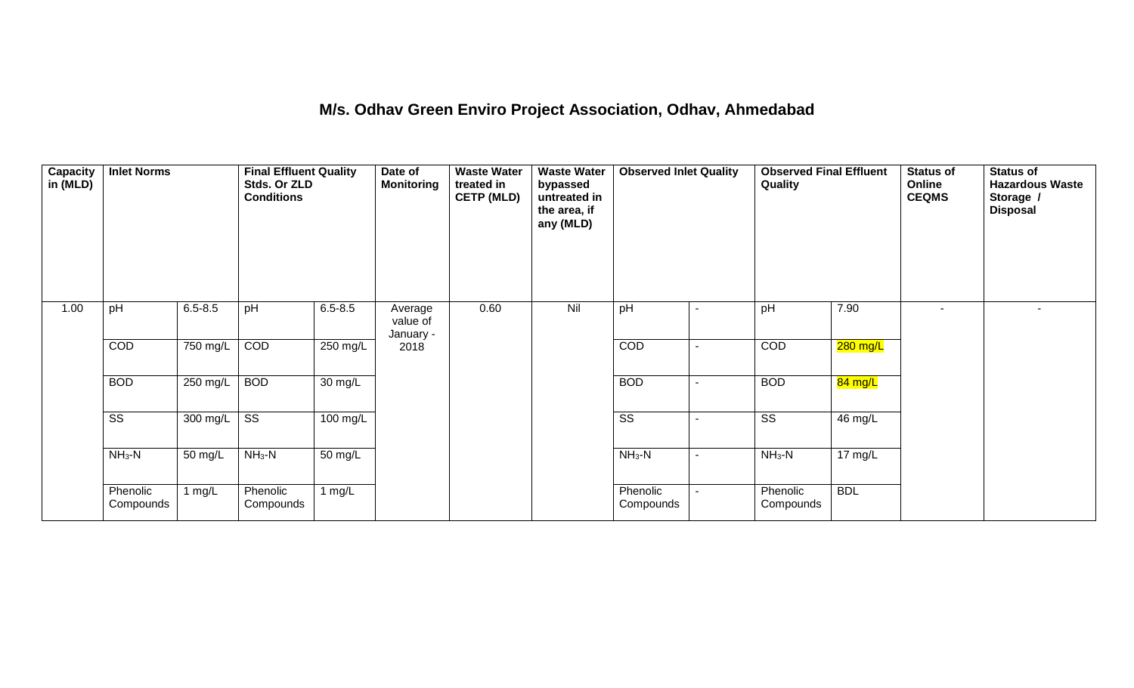#### **M/s. Odhav Green Enviro Project Association, Odhav, Ahmedabad**

| Capacity<br>in (MLD) | <b>Inlet Norms</b>     |             | <b>Final Effluent Quality</b><br>Stds. Or ZLD<br><b>Conditions</b> |             | Date of<br><b>Monitoring</b>     | <b>Waste Water</b><br>treated in<br><b>CETP (MLD)</b> | <b>Waste Water</b><br>bypassed<br>untreated in<br>the area, if<br>any (MLD) | <b>Observed Inlet Quality</b> |                          | <b>Observed Final Effluent</b><br>Quality |                      | <b>Status of</b><br>Online<br><b>CEQMS</b> | <b>Status of</b><br><b>Hazardous Waste</b><br>Storage /<br><b>Disposal</b> |
|----------------------|------------------------|-------------|--------------------------------------------------------------------|-------------|----------------------------------|-------------------------------------------------------|-----------------------------------------------------------------------------|-------------------------------|--------------------------|-------------------------------------------|----------------------|--------------------------------------------|----------------------------------------------------------------------------|
| 1.00                 | pH                     | $6.5 - 8.5$ | pH                                                                 | $6.5 - 8.5$ | Average<br>value of<br>January - | 0.60                                                  | Nil                                                                         | pH                            | $\overline{\phantom{a}}$ | pH                                        | 7.90                 |                                            | $\blacksquare$                                                             |
|                      | COD                    | 750 mg/L    | COD                                                                | 250 mg/L    | 2018                             |                                                       |                                                                             | COD                           | $\blacksquare$           | COD                                       | 280 mg/L             |                                            |                                                                            |
|                      | <b>BOD</b>             | 250 mg/L    | <b>BOD</b>                                                         | 30 mg/L     |                                  |                                                       |                                                                             | <b>BOD</b>                    | $\blacksquare$           | <b>BOD</b>                                | 84 mg/L              |                                            |                                                                            |
|                      | $\overline{\text{ss}}$ | 300 mg/L    | $\overline{\text{ss}}$                                             | 100 mg/L    |                                  |                                                       |                                                                             | $\overline{\text{ss}}$        | $\blacksquare$           | $\overline{\text{SS}}$                    | 46 mg/L              |                                            |                                                                            |
|                      | $NH3-N$                | 50 mg/L     | $NH3-N$                                                            | 50 mg/L     |                                  |                                                       |                                                                             | $NH_3-N$                      | $\blacksquare$           | $NH_3-N$                                  | $\overline{17}$ mg/L |                                            |                                                                            |
|                      | Phenolic<br>Compounds  | I mg/L      | Phenolic<br>Compounds                                              | 1 $mg/L$    |                                  |                                                       |                                                                             | Phenolic<br>Compounds         |                          | Phenolic<br>Compounds                     | <b>BDL</b>           |                                            |                                                                            |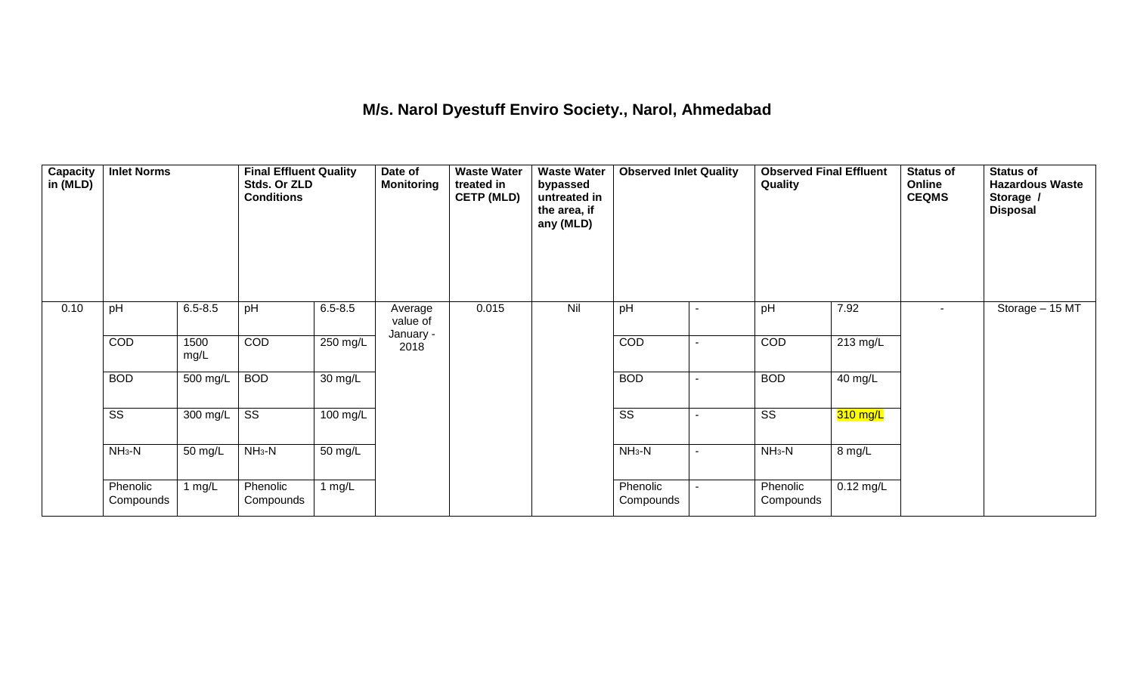#### **M/s. Narol Dyestuff Enviro Society., Narol, Ahmedabad**

| Capacity<br>in (MLD) | <b>Inlet Norms</b>     |              | <b>Final Effluent Quality</b><br>Stds. Or ZLD<br><b>Conditions</b> |             | Date of<br><b>Monitoring</b>     | <b>Waste Water</b><br>treated in<br><b>CETP (MLD)</b> | <b>Waste Water</b><br>bypassed<br>untreated in<br>the area, if<br>any (MLD) | <b>Observed Inlet Quality</b> |                          | <b>Observed Final Effluent</b><br>Quality |             | <b>Status of</b><br>Online<br><b>CEQMS</b> | <b>Status of</b><br><b>Hazardous Waste</b><br>Storage /<br><b>Disposal</b> |
|----------------------|------------------------|--------------|--------------------------------------------------------------------|-------------|----------------------------------|-------------------------------------------------------|-----------------------------------------------------------------------------|-------------------------------|--------------------------|-------------------------------------------|-------------|--------------------------------------------|----------------------------------------------------------------------------|
| 0.10                 | pH                     | $6.5 - 8.5$  | pH                                                                 | $6.5 - 8.5$ | Average<br>value of<br>January - | 0.015                                                 | Nil                                                                         | pH                            | $\blacksquare$           | pH                                        | 7.92        | $\sim$                                     | Storage - 15 MT                                                            |
|                      | COD                    | 1500<br>mg/L | COD                                                                | $250$ mg/L  | 2018                             |                                                       |                                                                             | COD                           | $\overline{\phantom{0}}$ | COD                                       | 213 mg/L    |                                            |                                                                            |
|                      | <b>BOD</b>             | 500 mg/L     | <b>BOD</b>                                                         | 30 mg/L     |                                  |                                                       |                                                                             | <b>BOD</b>                    | $\blacksquare$           | <b>BOD</b>                                | 40 mg/L     |                                            |                                                                            |
|                      | $\overline{\text{ss}}$ | 300 mg/L     | $\overline{\text{ss}}$                                             | 100 mg/L    |                                  |                                                       |                                                                             | $\overline{\text{ss}}$        | $\blacksquare$           | $\overline{\text{ss}}$                    | $310$ mg/L  |                                            |                                                                            |
|                      | $NH3-N$                | 50 mg/L      | $NH3-N$                                                            | 50 mg/L     |                                  |                                                       |                                                                             | $NH3-N$                       | -                        | $NH3-N$                                   | 8 mg/L      |                                            |                                                                            |
|                      | Phenolic<br>Compounds  | 1 $mg/L$     | Phenolic<br>Compounds                                              | 1 $mg/L$    |                                  |                                                       |                                                                             | Phenolic<br>Compounds         |                          | Phenolic<br>Compounds                     | $0.12$ mg/L |                                            |                                                                            |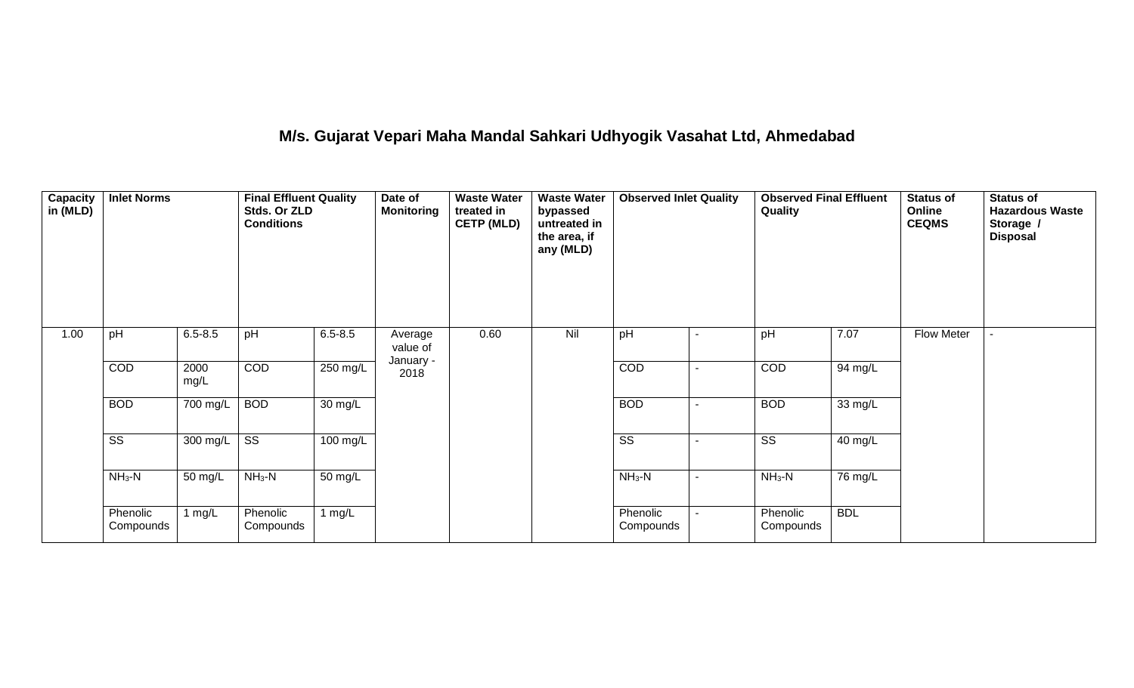# **M/s. Gujarat Vepari Maha Mandal Sahkari Udhyogik Vasahat Ltd, Ahmedabad**

| <b>Capacity</b><br>in (MLD) | <b>Inlet Norms</b>     |              | <b>Final Effluent Quality</b><br>Stds. Or ZLD<br><b>Conditions</b> |                      | Date of<br><b>Monitoring</b> | <b>Waste Water</b><br>treated in<br><b>CETP (MLD)</b> | <b>Waste Water</b><br>bypassed<br>untreated in<br>the area, if<br>any (MLD) | <b>Observed Inlet Quality</b> | <b>Observed Final Effluent</b><br>Quality |            | <b>Status of</b><br>Online<br><b>CEQMS</b> | <b>Status of</b><br><b>Hazardous Waste</b><br>Storage /<br><b>Disposal</b> |
|-----------------------------|------------------------|--------------|--------------------------------------------------------------------|----------------------|------------------------------|-------------------------------------------------------|-----------------------------------------------------------------------------|-------------------------------|-------------------------------------------|------------|--------------------------------------------|----------------------------------------------------------------------------|
| 1.00                        | pH                     | $6.5 - 8.5$  | pH                                                                 | $6.5 - 8.5$          | Average<br>value of          | 0.60                                                  | Nil                                                                         | pH                            | pH                                        | 7.07       | Flow Meter                                 |                                                                            |
|                             | COD                    | 2000<br>mg/L | COD                                                                | $250$ mg/L           | January -<br>2018            |                                                       |                                                                             | COD                           | COD                                       | 94 mg/L    |                                            |                                                                            |
|                             | <b>BOD</b>             | 700 mg/L     | <b>BOD</b>                                                         | $\overline{30}$ mg/L |                              |                                                       |                                                                             | <b>BOD</b>                    | <b>BOD</b>                                | 33 mg/L    |                                            |                                                                            |
|                             | $\overline{\text{ss}}$ | 300 mg/L     | $\overline{\text{ss}}$                                             | 100 mg/L             |                              |                                                       |                                                                             | $\overline{\text{ss}}$        | $\overline{\text{SS}}$                    | 40 mg/L    |                                            |                                                                            |
|                             | $NH3-N$                | 50 mg/L      | $NH3-N$                                                            | 50 mg/L              |                              |                                                       |                                                                             | $NH3-N$                       | $NH3-N$                                   | 76 mg/L    |                                            |                                                                            |
|                             | Phenolic<br>Compounds  | mgl          | Phenolic<br>Compounds                                              | 1 $mg/L$             |                              |                                                       |                                                                             | Phenolic<br>Compounds         | Phenolic<br>Compounds                     | <b>BDL</b> |                                            |                                                                            |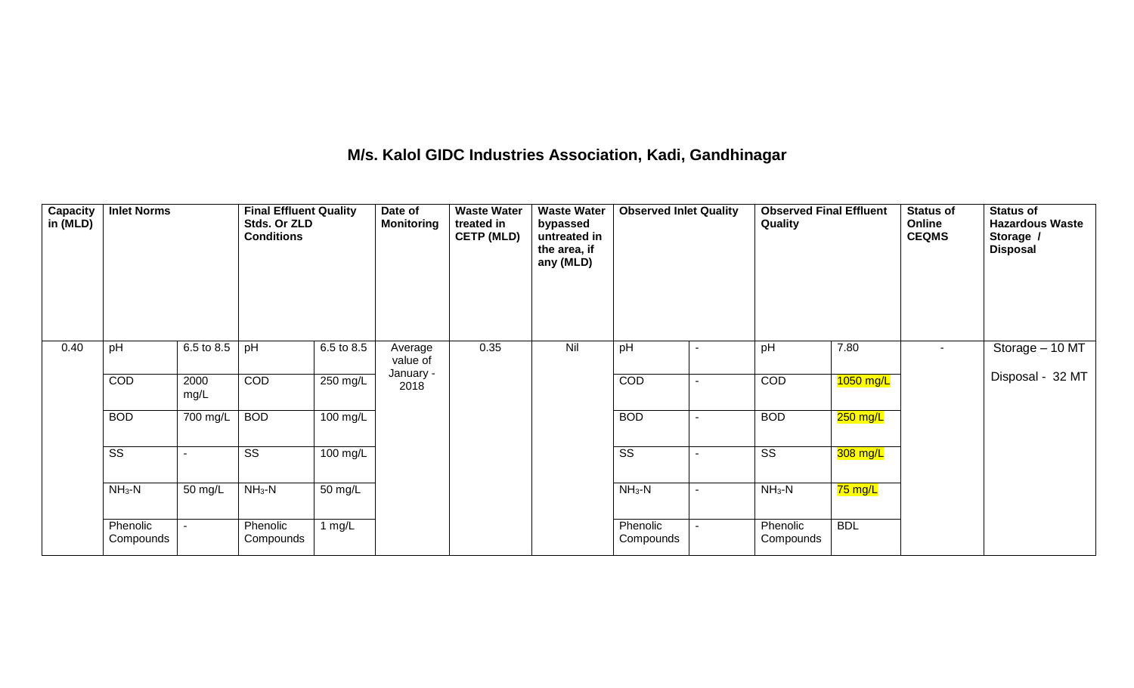### **M/s. Kalol GIDC Industries Association, Kadi, Gandhinagar**

| <b>Capacity</b><br>in (MLD) | <b>Inlet Norms</b>    |                       | <b>Final Effluent Quality</b><br>Stds. Or ZLD<br><b>Conditions</b> |                      | Date of<br><b>Monitoring</b> | <b>Waste Water</b><br>treated in<br><b>CETP (MLD)</b> | <b>Waste Water</b><br>bypassed<br>untreated in<br>the area, if<br>any (MLD) | <b>Observed Inlet Quality</b> |                          | <b>Observed Final Effluent</b><br>Quality |             | <b>Status of</b><br>Online<br><b>CEQMS</b> | <b>Status of</b><br><b>Hazardous Waste</b><br>Storage /<br><b>Disposal</b> |
|-----------------------------|-----------------------|-----------------------|--------------------------------------------------------------------|----------------------|------------------------------|-------------------------------------------------------|-----------------------------------------------------------------------------|-------------------------------|--------------------------|-------------------------------------------|-------------|--------------------------------------------|----------------------------------------------------------------------------|
| 0.40                        | pH                    | $6.5 \text{ to } 8.5$ | pH                                                                 | 6.5 to 8.5           | Average<br>value of          | 0.35                                                  | Nil                                                                         | pH                            |                          | pH                                        | 7.80        | $\sim$                                     | Storage - 10 MT                                                            |
|                             | COD                   | 2000<br>mg/L          | COD                                                                | $250$ mg/L           | January -<br>2018            |                                                       |                                                                             | COD                           | $\overline{\phantom{a}}$ | COD                                       | $1050$ mg/L |                                            | Disposal - 32 MT                                                           |
|                             | <b>BOD</b>            | 700 mg/L              | <b>BOD</b>                                                         | $100$ mg/L           |                              |                                                       |                                                                             | <b>BOD</b>                    |                          | <b>BOD</b>                                | $250$ mg/L  |                                            |                                                                            |
|                             | SS                    |                       | SS                                                                 | 100 mg/L             |                              |                                                       |                                                                             | SS                            |                          | SS                                        | 308 mg/L    |                                            |                                                                            |
|                             | $NH3-N$               | 50 mg/L               | $NH3-N$                                                            | $\overline{50}$ mg/L |                              |                                                       |                                                                             | $NH3-N$                       |                          | $NH3-N$                                   | 75 mg/L     |                                            |                                                                            |
|                             | Phenolic<br>Compounds |                       | Phenolic<br>Compounds                                              | 1 $mg/L$             |                              |                                                       |                                                                             | Phenolic<br>Compounds         | $\blacksquare$           | Phenolic<br>Compounds                     | <b>BDL</b>  |                                            |                                                                            |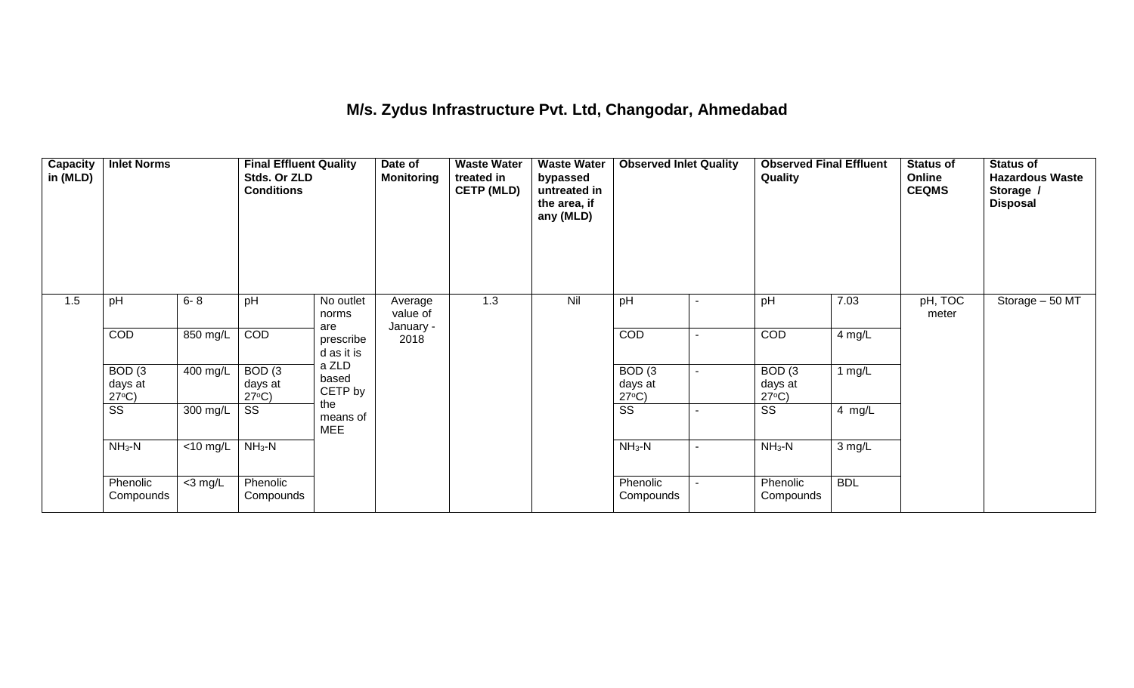### **M/s. Zydus Infrastructure Pvt. Ltd, Changodar, Ahmedabad**

| <b>Capacity</b><br>in (MLD) | <b>Inlet Norms</b>                   |                       | <b>Final Effluent Quality</b><br>Stds. Or ZLD<br><b>Conditions</b> |                                | Date of<br><b>Monitoring</b> | <b>Waste Water</b><br>treated in<br><b>CETP (MLD)</b> | <b>Waste Water</b><br>bypassed<br>untreated in<br>the area, if<br>any (MLD) | <b>Observed Inlet Quality</b>        |                          | <b>Observed Final Effluent</b><br>Quality |            | Status of<br>Online<br><b>CEQMS</b> | <b>Status of</b><br><b>Hazardous Waste</b><br>Storage /<br><b>Disposal</b> |
|-----------------------------|--------------------------------------|-----------------------|--------------------------------------------------------------------|--------------------------------|------------------------------|-------------------------------------------------------|-----------------------------------------------------------------------------|--------------------------------------|--------------------------|-------------------------------------------|------------|-------------------------------------|----------------------------------------------------------------------------|
| 1.5                         | pH                                   | $6 - 8$               | pH                                                                 | No outlet<br>norms             | Average<br>value of          | 1.3                                                   | Nil                                                                         | pH                                   | $\blacksquare$           | pH                                        | 7.03       | pH, TOC<br>meter                    | Storage - 50 MT                                                            |
|                             | COD                                  | 850 mg/L              | COD                                                                | are<br>prescribe<br>d as it is | January -<br>2018            |                                                       |                                                                             | <b>COD</b>                           | $\overline{\phantom{0}}$ | COD                                       | 4 mg/L     |                                     |                                                                            |
|                             | BOD(3)<br>days at<br>$27^{\circ}C$ ) | $\overline{400}$ mg/L | BOD(3)<br>days at<br>$27^{\circ}C$ )                               | a ZLD<br>based<br>CETP by      |                              |                                                       |                                                                             | BOD(3)<br>days at<br>$27^{\circ}C$ ) | -                        | BOD(3)<br>days at<br>$27^{\circ}C$ )      | 1 $mg/L$   |                                     |                                                                            |
|                             | $\overline{\text{SS}}$               | 300 mg/L              | SS                                                                 | the<br>means of<br><b>MEE</b>  |                              |                                                       |                                                                             | $\overline{\text{SS}}$               |                          | SS                                        | 4 mg/L     |                                     |                                                                            |
|                             | $NH_3-N$                             | <10 mg/L              | $NH3-N$                                                            |                                |                              |                                                       |                                                                             | $NH3-N$                              | $\overline{\phantom{a}}$ | $NH3-N$                                   | 3 mg/L     |                                     |                                                                            |
|                             | Phenolic<br>Compounds                | $<$ 3 mg/L            | Phenolic<br>Compounds                                              |                                |                              |                                                       |                                                                             | Phenolic<br>Compounds                |                          | Phenolic<br>Compounds                     | <b>BDL</b> |                                     |                                                                            |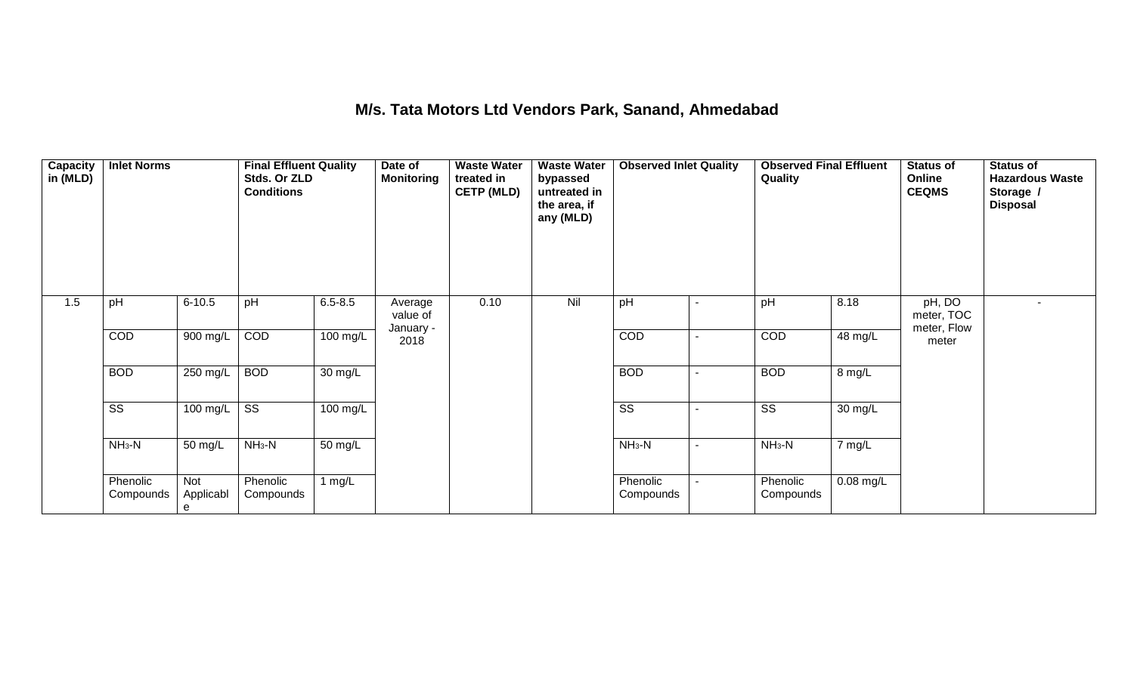### **M/s. Tata Motors Ltd Vendors Park, Sanand, Ahmedabad**

| Capacity<br>in (MLD) | <b>Inlet Norms</b>     |                       | <b>Final Effluent Quality</b><br>Stds. Or ZLD<br><b>Conditions</b> |             | Date of<br><b>Monitoring</b> | <b>Waste Water</b><br>treated in<br><b>CETP (MLD)</b> | <b>Waste Water</b><br>bypassed<br>untreated in<br>the area, if<br>any (MLD) | <b>Observed Inlet Quality</b> |                          | <b>Observed Final Effluent</b><br>Quality |             | <b>Status of</b><br>Online<br><b>CEQMS</b> | <b>Status of</b><br><b>Hazardous Waste</b><br>Storage /<br><b>Disposal</b> |
|----------------------|------------------------|-----------------------|--------------------------------------------------------------------|-------------|------------------------------|-------------------------------------------------------|-----------------------------------------------------------------------------|-------------------------------|--------------------------|-------------------------------------------|-------------|--------------------------------------------|----------------------------------------------------------------------------|
| 1.5                  | pH                     | $6 - 10.5$            | pH                                                                 | $6.5 - 8.5$ | Average<br>value of          | 0.10                                                  | Nil                                                                         | pH                            | $\overline{\phantom{a}}$ | pH                                        | 8.18        | pH, DO<br>meter, TOC                       | $\sim$                                                                     |
|                      | COD                    | 900 mg/L              | COD                                                                | $100$ mg/L  | January -<br>2018            |                                                       |                                                                             | COD                           | ٠                        | COD                                       | 48 mg/L     | meter, Flow<br>meter                       |                                                                            |
|                      | <b>BOD</b>             | $250$ mg/L            | <b>BOD</b>                                                         | 30 mg/L     |                              |                                                       |                                                                             | <b>BOD</b>                    | ٠                        | <b>BOD</b>                                | 8 mg/L      |                                            |                                                                            |
|                      | $\overline{\text{ss}}$ | 100 mg/L              | $\overline{\text{ss}}$                                             | 100 mg/L    |                              |                                                       |                                                                             | $\overline{\text{ss}}$        |                          | $\overline{\text{ss}}$                    | 30 mg/L     |                                            |                                                                            |
|                      | $NH3-N$                | 50 mg/L               | $NH3-N$                                                            | 50 mg/L     |                              |                                                       |                                                                             | $NH3-N$                       | $\blacksquare$           | $NH3-N$                                   | 7 mg/L      |                                            |                                                                            |
|                      | Phenolic<br>Compounds  | Not<br>Applicabl<br>e | Phenolic<br>Compounds                                              | 1 $mg/L$    |                              |                                                       |                                                                             | Phenolic<br>Compounds         | $\overline{\phantom{0}}$ | Phenolic<br>Compounds                     | $0.08$ mg/L |                                            |                                                                            |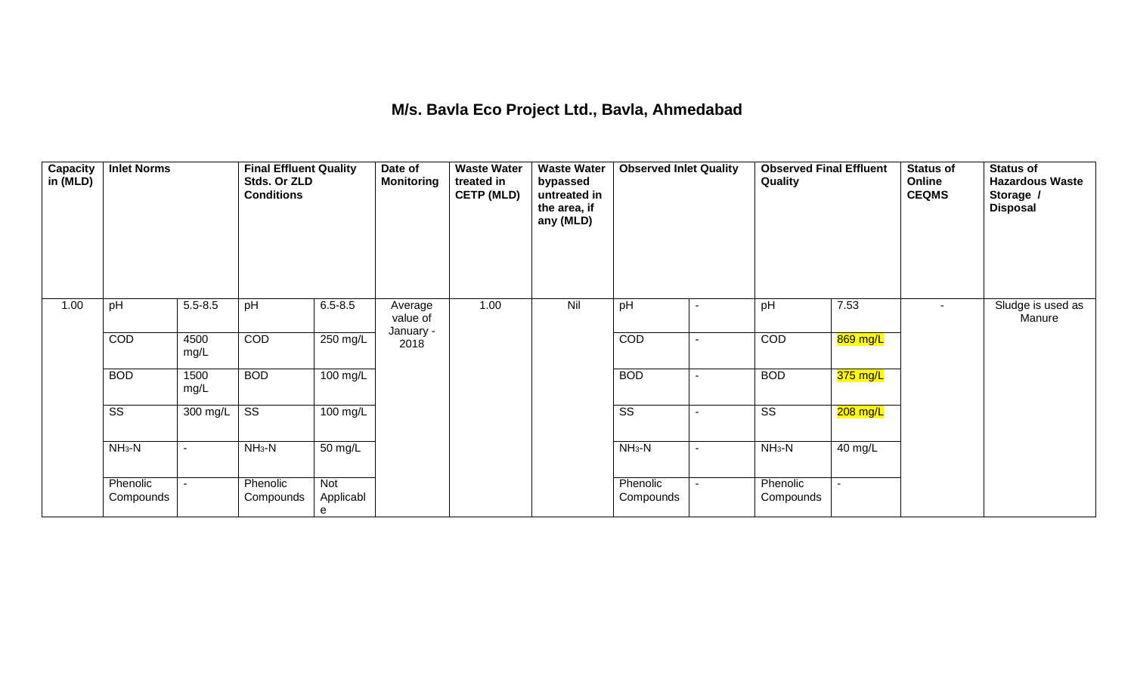### **M/s. Bavla Eco Project Ltd., Bavla, Ahmedabad**

| Capacity<br>in (MLD) | <b>Inlet Norms</b>     |                | <b>Final Effluent Quality</b><br>Stds. Or ZLD<br><b>Conditions</b> |                       | Date of<br><b>Monitoring</b> | <b>Waste Water</b><br>treated in<br><b>CETP (MLD)</b> | <b>Waste Water</b><br>bypassed<br>untreated in<br>the area, if<br>any (MLD) | <b>Observed Inlet Quality</b> |                          | <b>Observed Final Effluent</b><br>Quality |                          | <b>Status of</b><br>Online<br><b>CEQMS</b> | <b>Status of</b><br><b>Hazardous Waste</b><br>Storage /<br><b>Disposal</b> |
|----------------------|------------------------|----------------|--------------------------------------------------------------------|-----------------------|------------------------------|-------------------------------------------------------|-----------------------------------------------------------------------------|-------------------------------|--------------------------|-------------------------------------------|--------------------------|--------------------------------------------|----------------------------------------------------------------------------|
| 1.00                 | pH                     | $5.5 - 8.5$    | pH                                                                 | $6.5 - 8.5$           | Average<br>value of          | 1.00                                                  | Nil                                                                         | pH                            | $\overline{\phantom{a}}$ | pH                                        | 7.53                     |                                            | Sludge is used as<br>Manure                                                |
|                      | COD                    | 4500<br>mg/L   | COD                                                                | $250$ mg/L            | January -<br>2018            |                                                       |                                                                             | COD                           | $\blacksquare$           | COD                                       | 869 mg/L                 |                                            |                                                                            |
|                      | <b>BOD</b>             | 1500<br>mg/L   | <b>BOD</b>                                                         | $\overline{100}$ mg/L |                              |                                                       |                                                                             | <b>BOD</b>                    | $\overline{\phantom{a}}$ | <b>BOD</b>                                | $375 \text{ mg/L}$       |                                            |                                                                            |
|                      | $\overline{\text{SS}}$ | $300$ mg/L     | $\overline{\text{ss}}$                                             | $100$ mg/L            |                              |                                                       |                                                                             | $\overline{\text{ss}}$        | $\overline{\phantom{a}}$ | $\overline{\text{SS}}$                    | 208 mg/L                 |                                            |                                                                            |
|                      | $NH3-N$                | $\blacksquare$ | $NH_3-N$                                                           | 50 mg/L               |                              |                                                       |                                                                             | $NH3-N$                       | $\blacksquare$           | $NH3-N$                                   | 40 mg/L                  |                                            |                                                                            |
|                      | Phenolic<br>Compounds  | $\sim$         | Phenolic<br>Compounds                                              | Not<br>Applicabl<br>e |                              |                                                       |                                                                             | Phenolic<br>Compounds         | $\blacksquare$           | Phenolic<br>Compounds                     | $\overline{\phantom{0}}$ |                                            |                                                                            |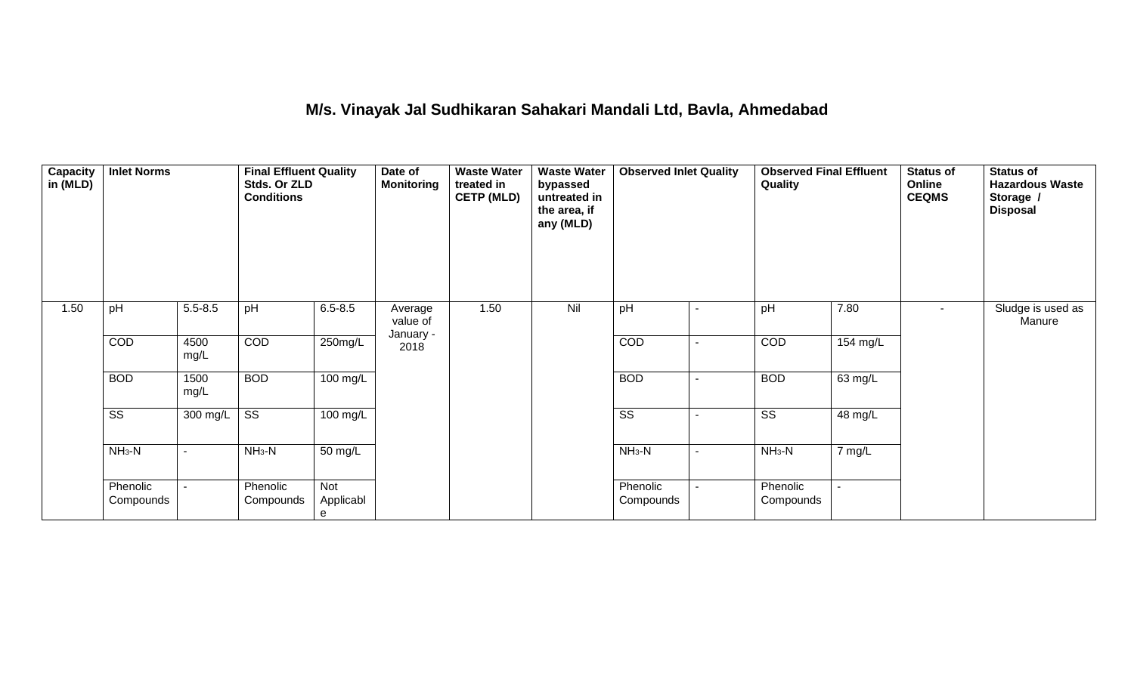### **M/s. Vinayak Jal Sudhikaran Sahakari Mandali Ltd, Bavla, Ahmedabad**

| Capacity<br>in (MLD) | <b>Inlet Norms</b>     |              | <b>Final Effluent Quality</b><br>Stds. Or ZLD<br><b>Conditions</b> |                       | Date of<br><b>Monitoring</b> | <b>Waste Water</b><br>treated in<br><b>CETP (MLD)</b> | <b>Waste Water</b><br>bypassed<br>untreated in<br>the area, if<br>any (MLD) | pH<br>$\blacksquare$   |                          | <b>Observed Final Effluent</b><br>Quality |          | <b>Status of</b><br>Online<br><b>CEQMS</b> | <b>Status of</b><br><b>Hazardous Waste</b><br>Storage /<br><b>Disposal</b> |
|----------------------|------------------------|--------------|--------------------------------------------------------------------|-----------------------|------------------------------|-------------------------------------------------------|-----------------------------------------------------------------------------|------------------------|--------------------------|-------------------------------------------|----------|--------------------------------------------|----------------------------------------------------------------------------|
| 1.50                 | pH                     | $5.5 - 8.5$  | pH                                                                 | $6.5 - 8.5$           | Average<br>value of          | 1.50                                                  | Nil                                                                         |                        |                          | pH                                        | 7.80     | $\sim$                                     | Sludge is used as<br>Manure                                                |
|                      | COD                    | 4500<br>mg/L | COD                                                                | 250mg/L               | January -<br>2018            |                                                       |                                                                             | COD                    | $\overline{\phantom{0}}$ | COD                                       | 154 mg/L |                                            |                                                                            |
|                      | <b>BOD</b>             | 1500<br>mg/L | <b>BOD</b>                                                         | 100 mg/L              |                              |                                                       |                                                                             | <b>BOD</b>             | ٠                        | <b>BOD</b>                                | 63 mg/L  |                                            |                                                                            |
|                      | $\overline{\text{SS}}$ | 300 mg/L     | $\overline{\text{SS}}$                                             | 100 mg/L              |                              |                                                       |                                                                             | $\overline{\text{ss}}$ |                          | $\overline{\text{ss}}$                    | 48 mg/L  |                                            |                                                                            |
|                      | $NH_3-N$               |              | $NH3-N$                                                            | 50 mg/L               |                              |                                                       |                                                                             | $NH_3-N$               | $\blacksquare$           | $NH3-N$                                   | 7 mg/L   |                                            |                                                                            |
|                      | Phenolic<br>Compounds  |              | Phenolic<br>Compounds                                              | Not<br>Applicabl<br>e |                              |                                                       |                                                                             | Phenolic<br>Compounds  |                          | Phenolic<br>Compounds                     |          |                                            |                                                                            |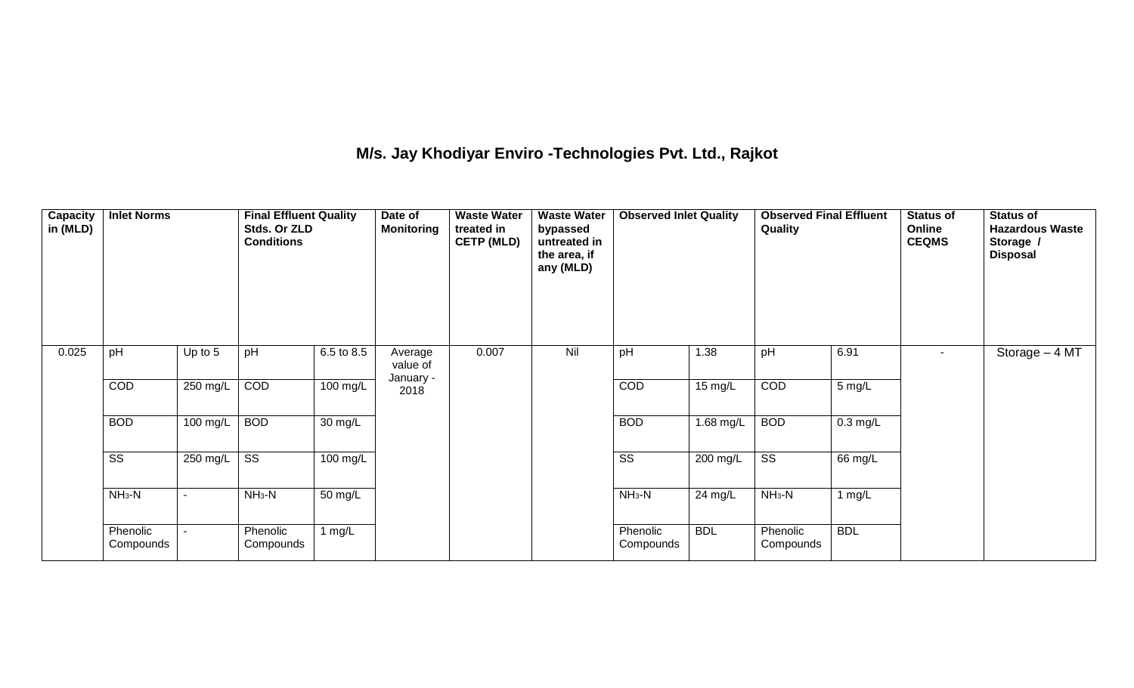## **M/s. Jay Khodiyar Enviro -Technologies Pvt. Ltd., Rajkot**

| Capacity<br>in (MLD) | <b>Inlet Norms</b>     |           | <b>Final Effluent Quality</b><br>Stds. Or ZLD<br><b>Conditions</b> |                    | Date of<br><b>Monitoring</b> | <b>Waste Water</b><br>treated in<br><b>CETP (MLD)</b> | <b>Waste Water</b><br>bypassed<br>untreated in<br>the area, if<br>any (MLD) | <b>Observed Inlet Quality</b> |             | <b>Observed Final Effluent</b><br>Quality |                    | Status of<br>Online<br><b>CEQMS</b> | <b>Status of</b><br><b>Hazardous Waste</b><br>Storage /<br><b>Disposal</b> |
|----------------------|------------------------|-----------|--------------------------------------------------------------------|--------------------|------------------------------|-------------------------------------------------------|-----------------------------------------------------------------------------|-------------------------------|-------------|-------------------------------------------|--------------------|-------------------------------------|----------------------------------------------------------------------------|
| 0.025                | pH                     | Up to $5$ | pH                                                                 | 6.5 to 8.5         | Average<br>value of          | 0.007                                                 | Nil                                                                         | pH                            | 1.38        | pH                                        | 6.91               |                                     | Storage $-4$ MT                                                            |
|                      | COD                    | 250 mg/L  | COD                                                                | $100 \text{ mg/L}$ | January -<br>2018            |                                                       |                                                                             | <b>COD</b>                    | 15 mg/L     | COD                                       | $5 \text{ mg/L}$   |                                     |                                                                            |
|                      | <b>BOD</b>             | 100 mg/L  | <b>BOD</b>                                                         | $30 \text{ mg/L}$  |                              |                                                       |                                                                             | <b>BOD</b>                    | $1.68$ mg/L | <b>BOD</b>                                | $0.3 \text{ mg/L}$ |                                     |                                                                            |
|                      | $\overline{\text{ss}}$ | 250 mg/L  | $\overline{\text{ss}}$                                             | 100 mg/L           |                              |                                                       |                                                                             | $\overline{\text{SS}}$        | 200 mg/L    | $\overline{\text{SS}}$                    | 66 mg/L            |                                     |                                                                            |
|                      | $NH3-N$                | ٠         | $NH3-N$                                                            | 50 mg/L            |                              |                                                       |                                                                             | $NH3-N$                       | $24$ mg/L   | $NH3-N$                                   | 1 mg/L             |                                     |                                                                            |
|                      | Phenolic<br>Compounds  |           | Phenolic<br>Compounds                                              | 1 $mg/L$           |                              |                                                       |                                                                             | Phenolic<br>Compounds         | <b>BDL</b>  | Phenolic<br>Compounds                     | <b>BDL</b>         |                                     |                                                                            |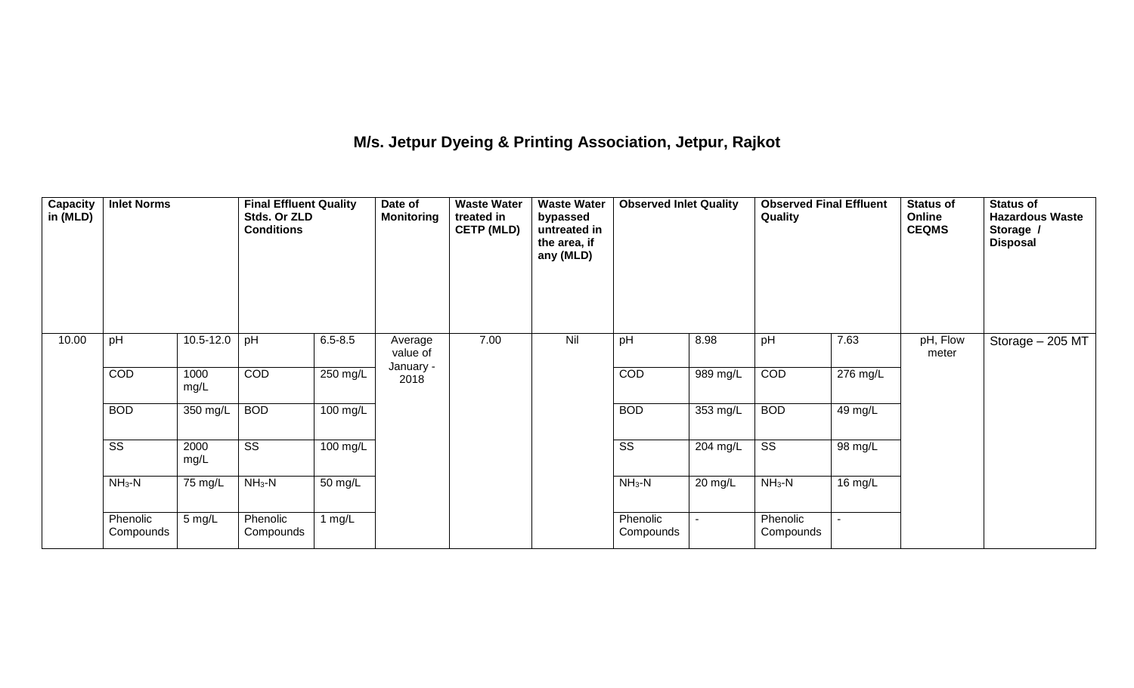### **M/s. Jetpur Dyeing & Printing Association, Jetpur, Rajkot**

| Capacity<br>in (MLD) | <b>Inlet Norms</b>     |                  | <b>Final Effluent Quality</b><br>Stds. Or ZLD<br><b>Conditions</b> |             | Date of<br><b>Monitoring</b> | <b>Waste Water</b><br>treated in<br><b>CETP (MLD)</b> | <b>Waste Water</b><br>bypassed<br>untreated in<br>the area, if<br>any (MLD) | <b>Observed Inlet Quality</b> |            | <b>Observed Final Effluent</b><br>Quality |          | <b>Status of</b><br><b>Online</b><br><b>CEQMS</b> | <b>Status of</b><br><b>Hazardous Waste</b><br>Storage /<br><b>Disposal</b> |
|----------------------|------------------------|------------------|--------------------------------------------------------------------|-------------|------------------------------|-------------------------------------------------------|-----------------------------------------------------------------------------|-------------------------------|------------|-------------------------------------------|----------|---------------------------------------------------|----------------------------------------------------------------------------|
| 10.00                | pH                     | 10.5-12.0        | pH                                                                 | $6.5 - 8.5$ | Average<br>value of          | 7.00                                                  | Nil                                                                         | pH                            | 8.98       | pH                                        | 7.63     | pH, Flow<br>meter                                 | Storage $-205$ MT                                                          |
|                      | <b>COD</b>             | 1000<br>mg/L     | <b>COD</b>                                                         | $250$ mg/L  | January -<br>2018            |                                                       |                                                                             | COD                           | 989 mg/L   | COD                                       | 276 mg/L |                                                   |                                                                            |
|                      | <b>BOD</b>             | 350 mg/L         | <b>BOD</b>                                                         | $100$ mg/L  |                              |                                                       |                                                                             | <b>BOD</b>                    | $353$ mg/L | <b>BOD</b>                                | 49 mg/L  |                                                   |                                                                            |
|                      | $\overline{\text{ss}}$ | 2000<br>mg/L     | $\overline{\text{SS}}$                                             | 100 mg/L    |                              |                                                       |                                                                             | $\overline{\text{SS}}$        | 204 mg/L   | $\overline{\text{ss}}$                    | 98 mg/L  |                                                   |                                                                            |
|                      | $NH3-N$                | 75 mg/L          | $NH3-N$                                                            | 50 mg/L     |                              |                                                       |                                                                             | $NH3-N$                       | 20 mg/L    | $NH3-N$                                   | 16 mg/L  |                                                   |                                                                            |
|                      | Phenolic<br>Compounds  | $5 \text{ mg/L}$ | Phenolic<br>Compounds                                              | 1 mg/ $L$   |                              |                                                       |                                                                             | Phenolic<br>Compounds         |            | Phenolic<br>Compounds                     |          |                                                   |                                                                            |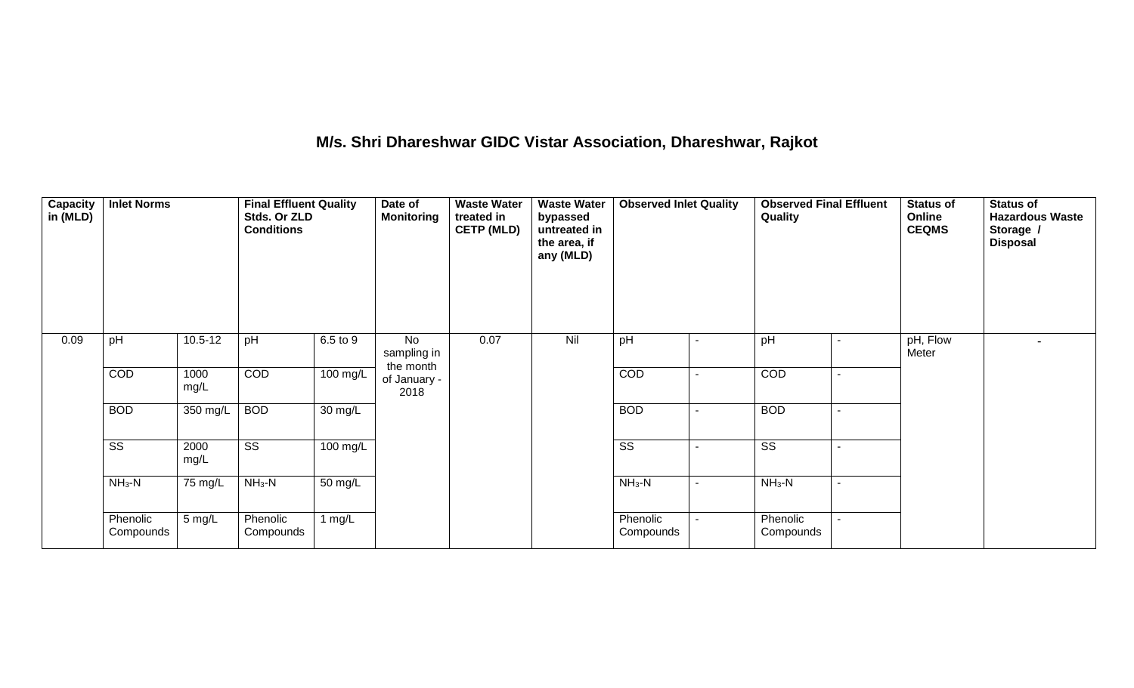### **M/s. Shri Dhareshwar GIDC Vistar Association, Dhareshwar, Rajkot**

| Capacity<br>in (MLD) | <b>Inlet Norms</b>     |              | <b>Final Effluent Quality</b><br>Stds. Or ZLD<br><b>Conditions</b> |                       | Date of<br><b>Monitoring</b>   | <b>Waste Water</b><br>treated in<br><b>CETP (MLD)</b> | <b>Waste Water</b><br>bypassed<br>untreated in<br>the area, if<br>any (MLD) | <b>Observed Inlet Quality</b> | <b>Observed Final Effluent</b><br>Quality |  | <b>Status of</b><br>Online<br><b>CEQMS</b> | <b>Status of</b><br><b>Hazardous Waste</b><br>Storage /<br><b>Disposal</b> |
|----------------------|------------------------|--------------|--------------------------------------------------------------------|-----------------------|--------------------------------|-------------------------------------------------------|-----------------------------------------------------------------------------|-------------------------------|-------------------------------------------|--|--------------------------------------------|----------------------------------------------------------------------------|
| 0.09                 | pH                     | $10.5 - 12$  | pH                                                                 | 6.5 to 9              | No<br>sampling in<br>the month | 0.07                                                  | Nil                                                                         | pH                            | pH                                        |  | pH, Flow<br>Meter                          | $\blacksquare$                                                             |
|                      | COD                    | 1000<br>mg/L | <b>COD</b>                                                         | 100 mg/L              | of January -<br>2018           |                                                       |                                                                             | COD                           | COD                                       |  |                                            |                                                                            |
|                      | <b>BOD</b>             | 350 mg/L     | <b>BOD</b>                                                         | $30 \text{ mg/L}$     |                                |                                                       |                                                                             | <b>BOD</b>                    | <b>BOD</b>                                |  |                                            |                                                                            |
|                      | $\overline{\text{ss}}$ | 2000<br>mg/L | $\overline{\text{SS}}$                                             | $\overline{100}$ mg/L |                                |                                                       |                                                                             | $\overline{\text{SS}}$        | $\overline{\text{SS}}$                    |  |                                            |                                                                            |
|                      | $NH3-N$                | 75 mg/L      | $NH3-N$                                                            | $\overline{50}$ mg/L  |                                |                                                       |                                                                             | $NH3-N$                       | $NH3-N$                                   |  |                                            |                                                                            |
|                      | Phenolic<br>Compounds  | 5 mg/L       | Phenolic<br>Compounds                                              | 1 $mg/L$              |                                |                                                       |                                                                             | Phenolic<br>Compounds         | Phenolic<br>Compounds                     |  |                                            |                                                                            |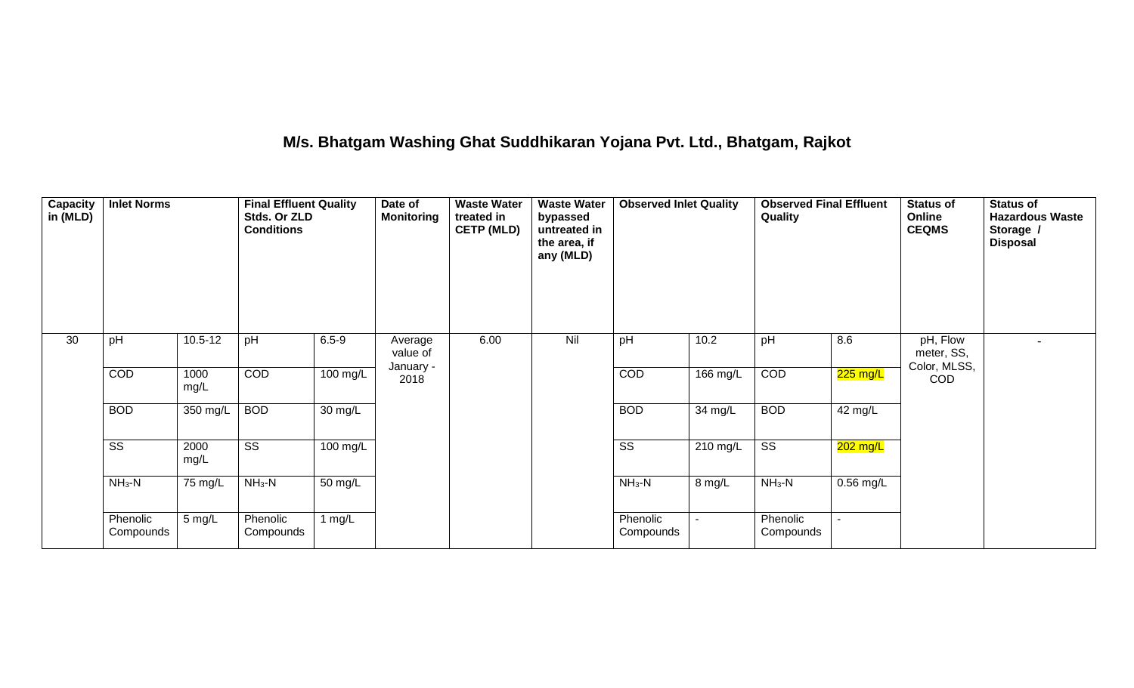### **M/s. Bhatgam Washing Ghat Suddhikaran Yojana Pvt. Ltd., Bhatgam, Rajkot**

| <b>Capacity</b><br>in (MLD) | <b>Inlet Norms</b>     |              | <b>Final Effluent Quality</b><br>Stds. Or ZLD<br><b>Conditions</b> |                    | Date of<br><b>Monitoring</b> | <b>Waste Water</b><br>treated in<br><b>CETP (MLD)</b> | <b>Waste Water</b><br>bypassed<br>untreated in<br>the area, if<br>any (MLD) | <b>Observed Inlet Quality</b> |          | <b>Observed Final Effluent</b><br>Quality |             | <b>Status of</b><br>Online<br><b>CEQMS</b> | <b>Status of</b><br><b>Hazardous Waste</b><br>Storage /<br><b>Disposal</b> |
|-----------------------------|------------------------|--------------|--------------------------------------------------------------------|--------------------|------------------------------|-------------------------------------------------------|-----------------------------------------------------------------------------|-------------------------------|----------|-------------------------------------------|-------------|--------------------------------------------|----------------------------------------------------------------------------|
| 30                          | pH                     | $10.5 - 12$  | pH                                                                 | $6.5 - 9$          | Average<br>value of          | 6.00                                                  | Nil                                                                         | pH                            | 10.2     | pH                                        | 8.6         | pH, Flow<br>meter, SS,<br>Color, MLSS,     |                                                                            |
|                             | COD                    | 1000<br>mg/L | COD                                                                | $100 \text{ mg/L}$ | January -<br>2018            |                                                       |                                                                             | COD                           | 166 mg/L | COD                                       | 225 mg/L    | COD                                        |                                                                            |
|                             | <b>BOD</b>             | 350 mg/L     | <b>BOD</b>                                                         | 30 mg/L            |                              |                                                       |                                                                             | <b>BOD</b>                    | 34 mg/L  | <b>BOD</b>                                | 42 mg/L     |                                            |                                                                            |
|                             | $\overline{\text{ss}}$ | 2000<br>mg/L | $\overline{\text{ss}}$                                             | $100$ mg/L         |                              |                                                       |                                                                             | $\overline{\text{ss}}$        | 210 mg/L | $\overline{\text{ss}}$                    | $202$ mg/L  |                                            |                                                                            |
|                             | $NH3-N$                | 75 mg/L      | $NH3-N$                                                            | $50 \text{ mg/L}$  |                              |                                                       |                                                                             | $NH3-N$                       | 8 mg/L   | $NH3-N$                                   | $0.56$ mg/L |                                            |                                                                            |
|                             | Phenolic<br>Compounds  | 5 mg/L       | Phenolic<br>Compounds                                              | 1 $mg/L$           |                              |                                                       |                                                                             | Phenolic<br>Compounds         |          | Phenolic<br>Compounds                     |             |                                            |                                                                            |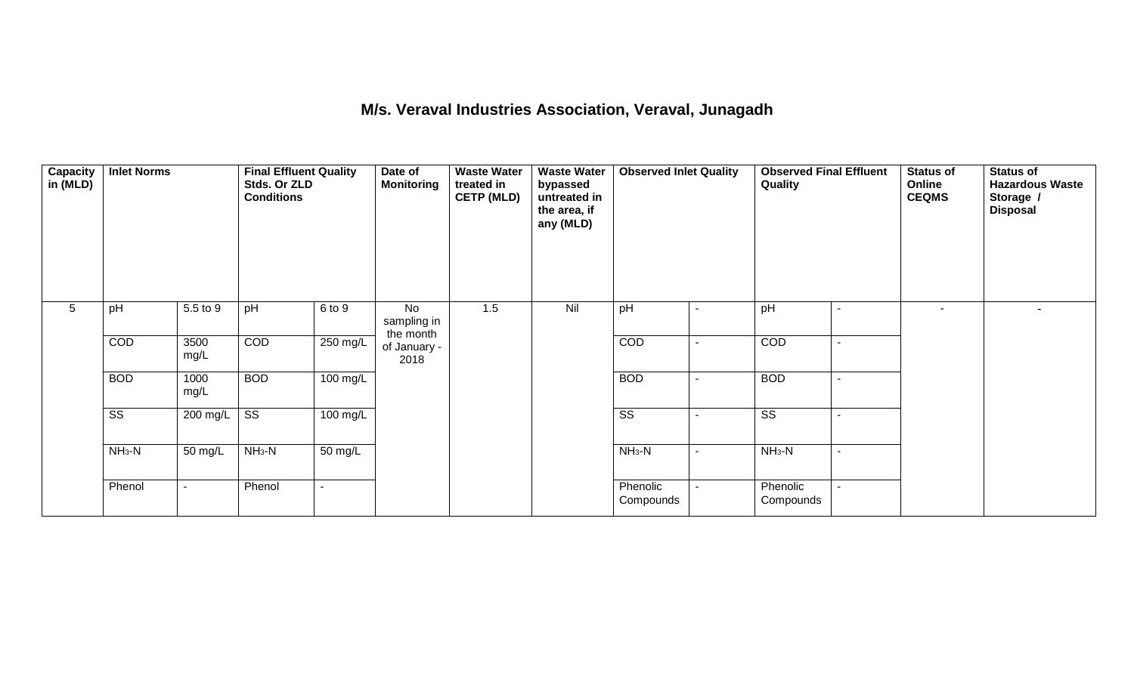#### **M/s. Veraval Industries Association, Veraval, Junagadh**

| <b>Capacity</b><br>in (MLD) | <b>Inlet Norms</b>     |                | <b>Final Effluent Quality</b><br>Stds. Or ZLD<br><b>Conditions</b> |                    | Date of<br><b>Monitoring</b>          | <b>Waste Water</b><br>treated in<br><b>CETP (MLD)</b> | <b>Waste Water</b><br>bypassed<br>untreated in<br>the area, if<br>any (MLD) | $\overline{\phantom{a}}$ |                          | <b>Observed Final Effluent</b><br>Quality |        | <b>Status of</b><br>Online<br><b>CEQMS</b> | <b>Status of</b><br><b>Hazardous Waste</b><br>Storage /<br><b>Disposal</b> |
|-----------------------------|------------------------|----------------|--------------------------------------------------------------------|--------------------|---------------------------------------|-------------------------------------------------------|-----------------------------------------------------------------------------|--------------------------|--------------------------|-------------------------------------------|--------|--------------------------------------------|----------------------------------------------------------------------------|
| 5                           | pH                     | 5.5 to 9       | pH                                                                 | 6 to 9             | <b>No</b><br>sampling in<br>the month | 1.5                                                   | Nil                                                                         | pH                       |                          | pH                                        |        | $\sim$                                     |                                                                            |
|                             | COD                    | 3500<br>mg/L   | COD                                                                | 250 mg/L           | of January -<br>2018                  |                                                       |                                                                             | COD                      |                          | COD                                       |        |                                            |                                                                            |
|                             | <b>BOD</b>             | 1000<br>mg/L   | <b>BOD</b>                                                         | 100 mg/L           |                                       |                                                       |                                                                             | <b>BOD</b>               | $\overline{\phantom{a}}$ | <b>BOD</b>                                |        |                                            |                                                                            |
|                             | $\overline{\text{ss}}$ | 200 mg/L       | $\overline{\text{ss}}$                                             | $100 \text{ mg/L}$ |                                       |                                                       |                                                                             | $\overline{\text{ss}}$   | $\blacksquare$           | $\overline{\text{ss}}$                    |        |                                            |                                                                            |
|                             | $NH3-N$                | 50 mg/L        | $NH3-N$                                                            | 50 mg/L            |                                       |                                                       |                                                                             | $NH_3-N$                 | $\blacksquare$           | $NH_3-N$                                  | $\sim$ |                                            |                                                                            |
|                             | Phenol                 | $\blacksquare$ | Phenol                                                             | $\blacksquare$     |                                       |                                                       |                                                                             | Phenolic<br>Compounds    |                          | Phenolic<br>Compounds                     |        |                                            |                                                                            |